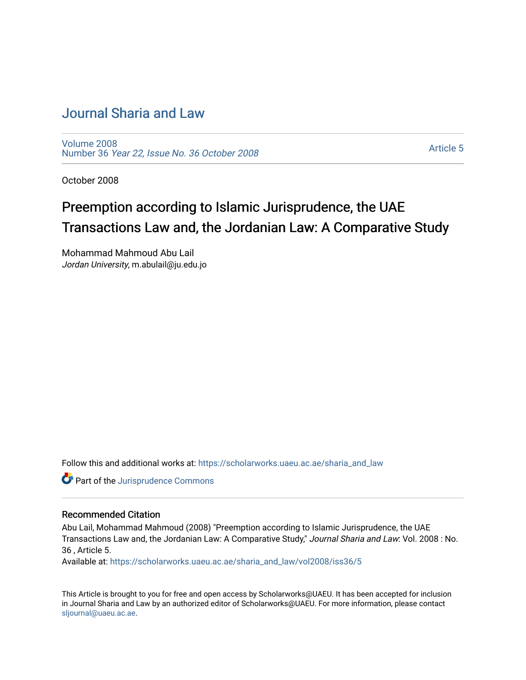# [Journal Sharia and Law](https://scholarworks.uaeu.ac.ae/sharia_and_law)

[Volume 2008](https://scholarworks.uaeu.ac.ae/sharia_and_law/vol2008)  Number 36 [Year 22, Issue No. 36 October 2008](https://scholarworks.uaeu.ac.ae/sharia_and_law/vol2008/iss36) 

[Article 5](https://scholarworks.uaeu.ac.ae/sharia_and_law/vol2008/iss36/5) 

October 2008

# Preemption according to Islamic Jurisprudence, the UAE Transactions Law and, the Jordanian Law: A Comparative Study

Mohammad Mahmoud Abu Lail Jordan University, m.abulail@ju.edu.jo

Follow this and additional works at: [https://scholarworks.uaeu.ac.ae/sharia\\_and\\_law](https://scholarworks.uaeu.ac.ae/sharia_and_law?utm_source=scholarworks.uaeu.ac.ae%2Fsharia_and_law%2Fvol2008%2Fiss36%2F5&utm_medium=PDF&utm_campaign=PDFCoverPages) 

Part of the [Jurisprudence Commons](http://network.bepress.com/hgg/discipline/610?utm_source=scholarworks.uaeu.ac.ae%2Fsharia_and_law%2Fvol2008%2Fiss36%2F5&utm_medium=PDF&utm_campaign=PDFCoverPages)

#### Recommended Citation

Abu Lail, Mohammad Mahmoud (2008) "Preemption according to Islamic Jurisprudence, the UAE Transactions Law and, the Jordanian Law: A Comparative Study," Journal Sharia and Law: Vol. 2008 : No. 36 , Article 5.

Available at: [https://scholarworks.uaeu.ac.ae/sharia\\_and\\_law/vol2008/iss36/5](https://scholarworks.uaeu.ac.ae/sharia_and_law/vol2008/iss36/5?utm_source=scholarworks.uaeu.ac.ae%2Fsharia_and_law%2Fvol2008%2Fiss36%2F5&utm_medium=PDF&utm_campaign=PDFCoverPages)

This Article is brought to you for free and open access by Scholarworks@UAEU. It has been accepted for inclusion in Journal Sharia and Law by an authorized editor of Scholarworks@UAEU. For more information, please contact [sljournal@uaeu.ac.ae.](mailto:sljournal@uaeu.ac.ae)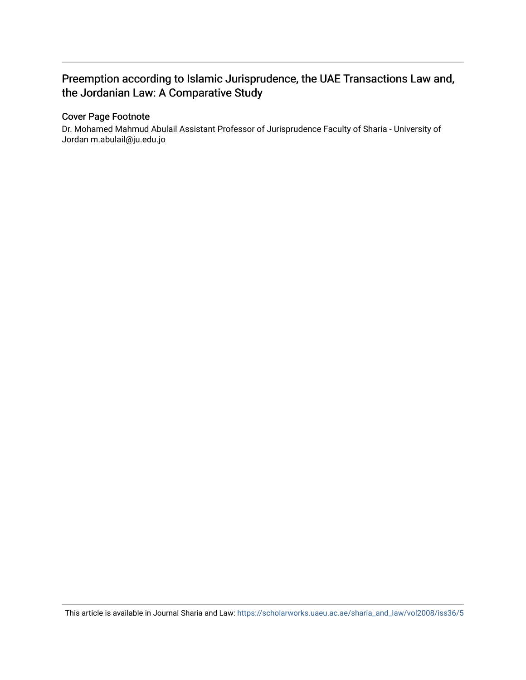## Preemption according to Islamic Jurisprudence, the UAE Transactions Law and, the Jordanian Law: A Comparative Study

#### Cover Page Footnote

Dr. Mohamed Mahmud Abulail Assistant Professor of Jurisprudence Faculty of Sharia - University of Jordan m.abulail@ju.edu.jo

This article is available in Journal Sharia and Law: [https://scholarworks.uaeu.ac.ae/sharia\\_and\\_law/vol2008/iss36/5](https://scholarworks.uaeu.ac.ae/sharia_and_law/vol2008/iss36/5)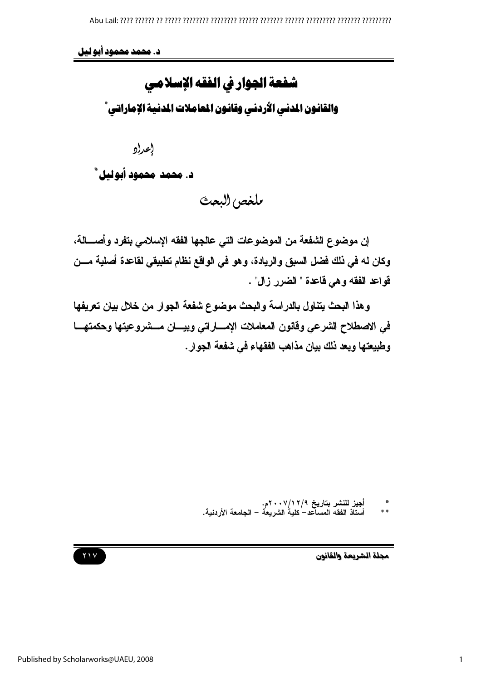د. محمد محمود أبو ليل

شفعة الجوار في الفقه الإسلامي والقانون المدني الأردني وقانون المعاملات المدنية الإماراتي ٌ

إعراو

د. محمد محمود أبوليل \*

بلغص البعث

إن موضوع الشفعة من الموضوعات التي عالجها الفقه الإسلامي بتفرد وأصــــالـة، وكان له في ذلك فضل السبق والريادة، وهو في الواقع نظام تطبيقي لقاعدة أصلية مـــن قواعد الفقه وهي قاعدة " الضرر زال" .

وهذا البحث يتناول بالدراسة والبحث موضوع شفعة الجوار من خلال بيان تعريفها في الاصطلاح الشرعي وفانون المعاملات الإمساراتي وبيسان مسشروعيتها وحكمتهسا وطبيعتها ويعد ذلك بيان مذاهب الفقهاء في شفعة الجوار.



أجيز للنشر بتاريخ ٢/١٢/٩-٢٠م.<br>أستاذ الفقه المساعد– كلية الشريعة – الجامعة الأردنية. as as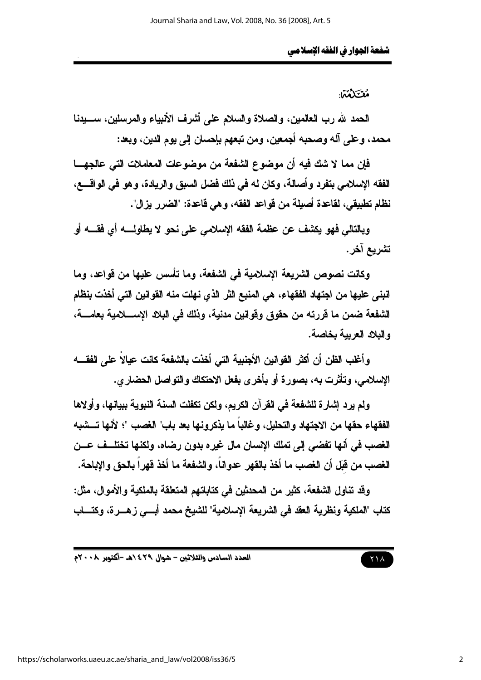مُقْتَلَهُمْ:

الحمد لله رب العالمين، والصلاة والسلام على أشرف الأنبياء والمرسلين، ســــيدنـا محمد، وعلى آله وصحبه أجمعين، ومن تبعهم بإحسان إلى يوم الدين، وبعد:

فإن مما لا شك فيه أن موضوع الشفعة من موضوعات المعاملات التي عالجهــا الفقه الإسلامي بتفرد وأصالة، وكان له في ذلك فضل السبق والريادة، وهو في الواقـــع، نظام تطبيقي، لقاعدة أصيلة من قواعد الفقه، وهي قاعدة: "الضرر يزال".

وبالتالي فهو يكثف عن عظمة الفقه الإسلامي على نحو لا يطاولــــه أي فقــــه أو تشريع آخر.

وكانت نصوص الشريعة الإسلامية في الشفعة، وما تأسس عليها من قواعد، وما انبِني عليها من اجتهاد الفقهاء، هي المنبع الثر الذي نهلت منه القوانين التي أخذت بنظام الشفعة ضمن ما قررته من حقوق وقوانين مدنية، وذلك في البلاد الإســــلامية بعامــــة، والبلاد العربية بخاصة.

وأغلب الظن أن أكثر القوانين الأجنبية التي أخذت بالشفعة كانت عيالاً على الفقسه الإسلامي، وتأثَّرت به، بصورة أو بأخرى بفعل الاحتكاك والتواصل الحضاري.

ولم يرد إشارة للشفعة في القرآن الكريم، ولكن تكفلت السنة النبوية ببيانها، وأولاها الفقهاء حقها من الاجتهاد والتحليل، وغالباً ما يذكرونها بعد باب" الغصب "؛ لأنها تـــشبه الغصب في أنها تفضي إلى تملك الإسبان مال غيره بدون رضاه، ولكنها تختلــف عــن الغصب من فَبَل أن الغصب ما أخذ بالقهر عدواناً، والشفعة ما أخذ فهراً بالحق والإباحة.

وقِد تناول الشفعة، كثير من المحدثين في كتاباتهم المتعلقة بالملكية والأموال، مثل: كتاب "الملكية ونظرية العقد في الشريعة الإسلامية" للشيخ محمد أبسى زهـــرة، وكتــــاب

العدد السادس والثلاثين - شوال ٤٢٩ ٥هـ -أكتوبر ٢٠٠٨م

 $Y \wedge A$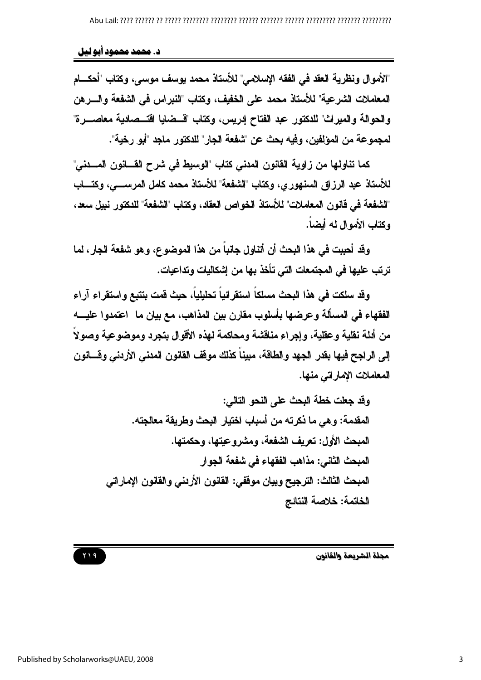### د. محمد محمود أبو ليل

"الأموال ونظرية العقد في الفقه الإسلامي" للأستاذ محمد يوسف موسى، وكتاب "أحكـــام المعاملات الشرعية" للأستاذ محمد على الخفيف، وكتاب "النبراس في الشفعة والسرهن والحوالة والميراث" للدكتور عبد الفتاح إدريس، وكتاب "قسضايا اقتسصادية معاصسرة" لمجموعة من المؤلفين، وفيه بحث عن "شفعة الجار" للدكتور ماجد "أبو رخية".

كما تناولها من زاوية القانون المدنى كتاب "الوسيط في شرح القــــانون المــــدني" للأستاذ عبد الرزاق السنهوري، وكتاب "الشفعة" للأستاذ محمد كامل المرســـي، وكتــــاب "الشفعة في فانون المعاملات" للأستاذ الخواص العقاد، وكتاب "الشفعة" للدكتور نبيل سعد، وكتاب الأموال له أيضاً.

وقد أحببت في هذا البحث أن أتناول جانباً من هذا الموضوع، وهو شفعة الجار ، لما ترتب عليها في المجتمعات التي تأخذ بها من إشكاليات وتداعيات.

وقد سلكت في هذا البحث مسلكاً استقرائياً تحليلياً، حيث قمت بتتبع واستقراء آراء الفقهاء في المسألة وعرضها بأسلوب مقارن بين المذاهب، مع بيان ما اعتمدوا عليـــه من أدلة نقلية وعقلية، وإجراء مناقشة ومحاكمة لهذه الأقوال بتجرد وموضوعية وصولاً إلى الراجح فيها بقدر الجهد والطاقة، مبيناً كذلك موقف القانون المدنى الأردنى وقسانون المعاملات الإماراتي منها.

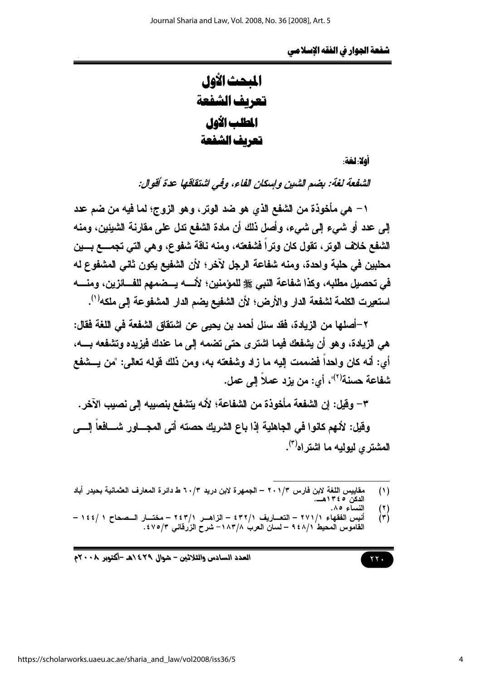المبحث الأول تعريف الشفعة المطلب الأول تعريف الشفعة

أهلا: لَغَة:

الشفعة لغة: بضم الشين وإسكان الفاء، وفي اشتقاقها عدة أقوال:

١ – هي مأخوذة من الشفع الذي هو ضد الوتر، وهو الزوج؛ لما فيه من ضم عدد إلى عدد أو شيء إلى شيء، وأصل ذلك أن مادة الشفع تدل على مقارنة الشيئين، ومنه الشفع خلاف الوتر ، تقول كان وتراً فشفعته، ومنه ناقة شفوع، وهي التي تجمـــع بـــين محلبين في حلبة واحدة، ومنه شفاعة الرجل لآخر؛ لأن الشفيع يكون ثاني المشفوع له استعيرت الكلمة لشفعة الدار والأرض؛ لأن الشفيع يضم الدار المشفوعة إلى ملكه<sup>(١)</sup>.

٢ –أصلها من الزيادة، فقد سئل أحمد بن يحيى عن اشتقاق الشفعة في اللغة فقال: هي الزيادة، وهو أن يشفعك فيما اشترى حتى تضمه إلى ما عندك فيزيده وتشفعه بـــــه، أي: أنه كان ولحداً فضممت إليه ما زاد وشفعته به، ومن ذلك فوله تعالى: "من يـــشفع شفاعة حسنة<sup>(٢)</sup>"، أي: من يزد ع*م*لاً إلى عمل.

٣– وفيل: إن الشفعة مأخوذة من الشفاعة؛ لأنه يتشفع بنصيبه إلى نصيب الآخر.

وفَيل: لأنهم كانوا في الجاهلية إذا باع الشريك حصته أتى المجــــاور شــــافعاً إلــــى المشتر ي لبوليه ما اشتر اه<sup>(٣)</sup>.

مقاييس اللغة لابن فارس ٢٠١/٣ – الجمهرة لابن دريد ٢٠/٣ ط دائرة المعارف العثمانية بحيدر أباد<br>الدكن ١٣٤٥هـــ.  $(1)$ 

 $(1)$ 

 $\gamma$   $\gamma$ .

أنيس الفقهاء ٢٧١/١ – التعــاريف ٤٣٢/١ – الزاهــر ٢٤٣/١ – مختــار الــصحاح ١ /١٤٤ –  $\mathcal{L}(\mathbf{r})$ القاموس المحيط ٩٤٨/١ – لسان العرب ١٨٣/٨– شرح الزرفانى ٧٥/٣٪.

العدد السادس والثلاثين - شوال ٤٢٩ ٥هـ -أكتوبر ٢٠٠٨م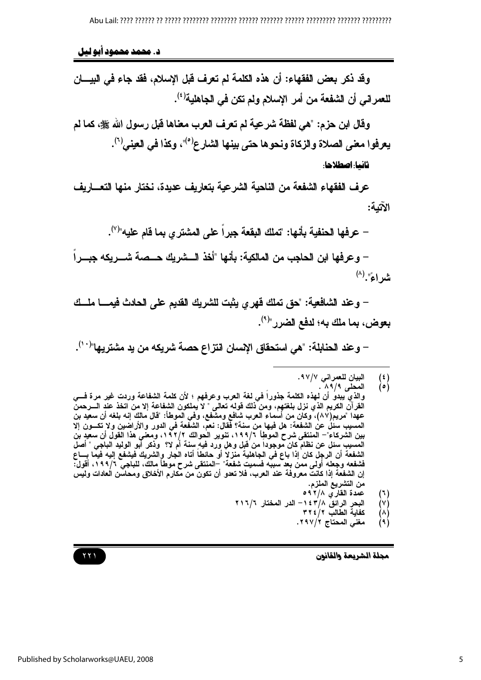د. محمد محمود آبو لیل

وقد ذكر بعض الفقهاء: أن هذه الكلمة لم تعرف قبل الإسلام، فقد جاء في البيسان للعمران*ي* أن الشفعة من أمر الإسلام ولم تكن في الجاهلية<sup>(٤)</sup>.

وقال ابن حزم: "هي لفظة شرعية لم تعرف العرب معناها قبل رسول الله ﷺ، كما لم يعرفوا معنى الصلاة والزكاة ونحوها حتى بينها الشارع<sup>(0)</sup>"، وكذا في العيني<sup>(٦)</sup>. ثانيا: اصطلاحا:

عرف الفقهاء الشفعة من الناحية الشرعية بتعاريف عديدة، نختار منها التعساريف الآتمة:

حرفها الحنفية بأنها: "تملك البقعة جبراً على المشترى بما فام عليه"<sup>(٧)</sup>.

– وعرفها ابن الحاجب من المالكية: بأنها "أخذ الـــشريك حـــصة شـــريكه جبـــراً شراءً". (^)

– وعند الشافعية: "حق تملك فهر ي يثبت للشريك القديم على الحادث فيمــــا ملـــك بعوض، بما ملك به؛ لدفع الضرر "<sup>(٩)</sup>.

– وعند الحنابلة: "هي استحقاق الإسبان انتزاع حصة شريكه من يد مشتريها"<sup>(١٠)</sup>.

- عمدة القاري ٢/٨ ٥٩  $(1)$
- البحر الرائق ١٤٣/٨ الدر المختار ٢١٦/٦ (V)
	- كفاية الطالب ٢٢٤/٢ A)
	- مغنى المحتاج ٢٩٧/٢.  $(9)$

مجلة الشريعة والقانون

Published by Scholarworks@UAEU, 2008

البيان للعمراني ٩٧/٧.  $\mathbf{f}$ 

المحل*ى ٨٩/٩*  $\left( \circ \right)$ 

والذي يبدو أن لهذه الكلمة جذورا في لغة العرب وعرفهم ؛ لأن كلمة الشفاعة وردت غير مرة فسي الْقَرْ أَنَّ الْكريم الذي نزل بلغتهم، ومن ذلك قوله تعالى " لا يملكون الشفاعة إلا من اتخذ عند الـــرحمن<br>عهدا "مريم(٨٧)، وكان من أسماء العرب شافع ومشفع، وفي الموطأ: "قال مالك إنه بلغه أن سعيد بن المسيب سئل عن الشفعة: هل فيها من سنة؟ فقال: نعم، الشفعة في الدور والأراضين ولا تكـــون إلا بين الشركاء"– المنتقى شرح الموطأ ١٩٩/٦، تنوير الحوالك ١٩٢/٢، ومعنى هذا القول أن سعيد بن المسبِب سئل عن نظام كان موجودا من قبل وهلٍ ورد فيهٍ سنة أم لا؟ وذكر أبو الوليد الباجي " أصل الشفعة أن الرجل كان إذا باع في الجاهلية منزلا أو حائطا أتاه الجار والشريك فيشفع إليه فيمًا بـــاع فشفعه وجعله أولى ممن بعد سببه فسميت شفعة" –المنتقى شرح موطأ مالك، للباجي ١٩٩/٦، أقول: إن الشفعة إذا كانتٌ معروفة عند العرب، فلا تعدو أن تكونّ من مكارم الأخلاق ومحاسّن العادات وليس من التشريع الملزم.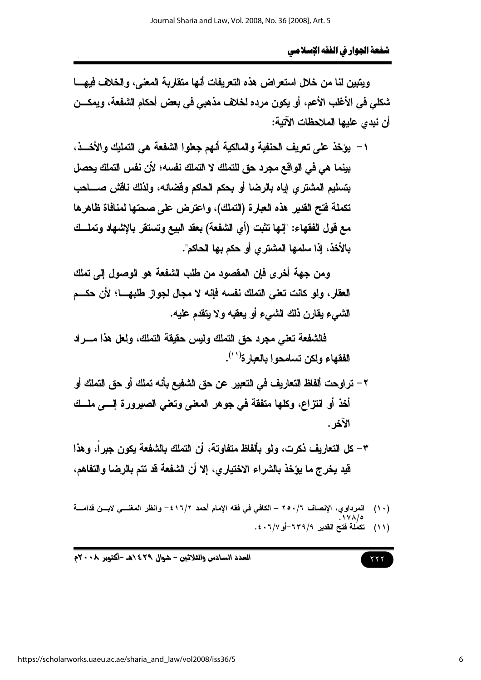ويتبين لنا من خلال استعراض هذه التعريفات أنها متقاربة المعنى، والخلاف فيهسا شكلي في الأغلب الأعم، أو يكون مرده لخلاف مذهبي في بعض أحكام الشفعة، ويمكـــن أن نبدى عليها الملاحظات الآتية:

١ – يؤخذ على تعريف الحنفية والمالكية أنهم جعلوا الشفعة هي التمليك والأخــذ، بينما هي في الواقع مجرد حق للتملك لا التملك نفسه؛ لأن نفس التملك يحصل بتسليم المشتري إياه بالرضا أو بحكم الحاكم وقضائه، ولذلك ناقش صــــاحب تكملة فتح القدير. هذه العبارة (التملك)، واعترض على صحتها لمنافاة ظاهرها مع قول الفقهاء: "إنها تثبت (أي الشفعة) بعقد البيع وتستقر بالإشهاد وتملك بِالأَخذِ، إذا سلمها المشترى أو حكم بِها الحاكم".

ومن جهة أخرى فإن المقصود من طلب الشفعة هو الوصول إلى تملك العقار ، ولو كانت تعني التملك نفسه فإنه لا مجال لجواز طلبهـــا؛ لأن حكـــم الشيء يقارن ذلك الشيء أو يعقبه ولا يتقدم عليه.

فالشفعة تعني مجرد حق التملك وليس حقيقة التملك، ولعل هذا مسراد الفقهاء ولكن تسامحوا بالعبار ة<sup>(١١</sup>).

- ٢ تراوحت ألفاظ التعاريف في التعيير عن حق الشفيع بأنه تملك أو حق التملك أو أخذ أو انتزاع، وكلها متفقة في جوهر المعنى وتعني الصيرورة إلـــي ملــك الآخر .
- ٣ كل التعاريف ذكرت، ولو بألفاظ متفاوتة، أن التملك بالشفعة يكون جبراً، وهذا قيد يخرج ما يؤخذ بالشراء الاختياري، إلا أن الشفعة قد تتم بالرضا والتفاهم،
- (١٠) المرداوي، الإنصاف ٢٥٠/٦ الكافي في فقه الإمام أحمد ٢/٢١٦ وانظر المغنــي لابــن قدامـــة ّ<br>(١١) تكملة فتح القدير ٢٣٩/٩-أو ٤٠٦/٧.

$$
\mathbf{r} = \mathbf{r} \mathbf{r}
$$

 $\gamma$   $\gamma$ 

العدد السادس والثلاثين - شوال ٢٩٤/هـ -أكتوبر ٢٠٠٨م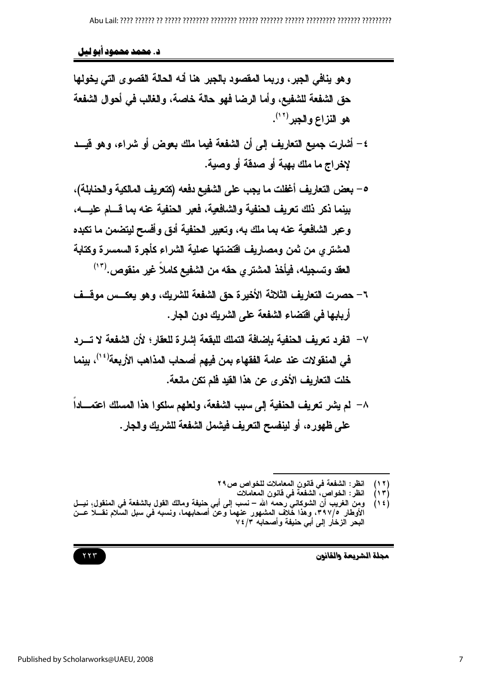د. محمد محمود آبو لیل

- ٤ أشارت جميع التعاريف إلى أن الشفعة فيما ملك بعوض أو شراء، وهو فيــد لإخراج ما ملك بهبة أو صدقة أو وصية.
- ٥ بعض التعاريف أغفلت ما يجب على الشفيع دفعه (كتعريف المالكية والحنابلة)، بينما ذكر ذلك تعريف الحنفية والشافعية، فعبر الحنفية عنه بما قسام عليسه، وعبر الشافعية عنه بما ملك به، وتعيير الحنفية أدق وأفسح ليتضمن ما تكبده المشترى من ثمن ومصاريف اقتضتها عملية الشراء كأجرة السمسرة وكتابة العقد وتسجيله، فيأخذ المشترى حقه من الشفيع كاملاً غير منقوص.("')
- ٦– حصرت التعاريف الثلاثة الأخيرة حق الشفعة للشريك، وهو يعكس موقسف أربابها في اقتضاء الشفعة على الشريك دون الجار.
- ٧ انفرد تعريف الحنفية باضافة التملك للبقعة اشار ة للعقار ؛ لأن الشفعة لا تسرد في المنقولات عند عامة الفقهاء بمن فيهم أصحاب المذاهب الأربعة'<sup>؛ י)</sup>، بينما خلت التعاريف الأخرى عن هذا القيد فلم تكن مانعة.
- ٨– لم يشر تعريف الحنفية إلى سبب الشفعة، ولعلهم سلكوا هذا المسلك اعتمـــاداً على ظهوره، أو لينفسح التعريف فيشمل الشفعة للشريك والجار .

انظر : الشفعة في فانون المعاملات للخواص ص٢٩  $(11)$ 

- انظر : الخواص، الشفعة فى قانون المعاملات  $(1 \tau)$
- ومِن الغريب أن الشوكاني رحمه الله نسب إلى أبي حنيفة ومالك القول بالشفعة في المنقول،ِ نيــل  $(15)$ الأوطار ٣٩٧/٥، وهذا خُلاف المشهور عنهما وّعن أصحابهما، ونسبه في سبل السلام نقـــلا عــن البحر الزخار إلى أبي حنيفة وأصحابه ٧٤/٣

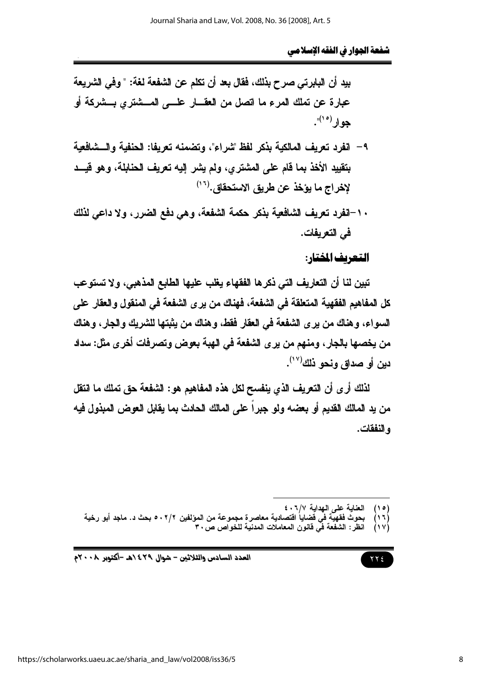بيد أن البابرتي صرح بذلك، فقال بعد أن تكلم عن الشفعة لغة: " وفي الشريعة عبارة عن تملك المرع ما اتصل من العقسار علــــى المـــشتري بـــشركة أو جو ار <sup>(۱۰)</sup>".

- ٩- انفرد تعريف المالكية بذكر لفظ "شراء"، وتضمنه تعريفا: الحنفية والسشافعية بتقييد الأخذ بما قام على المشترى، ولم يشر إليه تعريف الحنابلة، وهو فيــد لإخراج ما يؤخذ عن طريق الاستحقاق.<sup>(١٦)</sup>
- ١٠-انفرد تعريف الشافعية بذكر حكمة الشفعة، وهي دفع الضرر، ولا داعي لذلك في التعريفات.

# التعريف المختار:

تبين لنا أن التعاريف التي ذكرها الفقهاء يغلب عليها الطابع المذهبي، ولا تستوعب كل المفاهيم الفقهية المتعلقة في الشفعة، فهناك من يرى الشفعة في المنقول والعقار على السواء، وهناك من يرى الشفعة في العقار فقط، وهناك من يثبتها للشريك والجار، وهناك من يخصها بالجار ، ومنهم من ير ي الشفعة في الهبة بعوض وتصرفات أخر ي مثل: سداد دين أو صداق ونحو ذلك (١٧).

لذلك أر ي أن التعريف الذي ينفسح لكل هذه المفاهيم هو : الشفعة حق تملك ما انتقل من يد المالك القديم أو بعضه ولو جبراً على المالك الحادث بما يقابل العوض المبذول فيه ه النفقات.

> العناية على الهداية ١/٧. ٤  $(10)$

- بحوث فقهيّة في قضاياُ اقتصادية معاصرة مجموعة من المؤلفين ٢/٢ ٥٠ بحث د. ماجد أبو رخية<br>انظر : الشفعة في قانون المعاملات المدنية للخواص ص٣٠  $(11)$ 
	- $\lambda \vee \lambda$

$$
\gamma\gamma\epsilon
$$

العدد السادس والثلاثين – شوال ٢٩٤/هـ -أكتوبر ٢٠٠٨م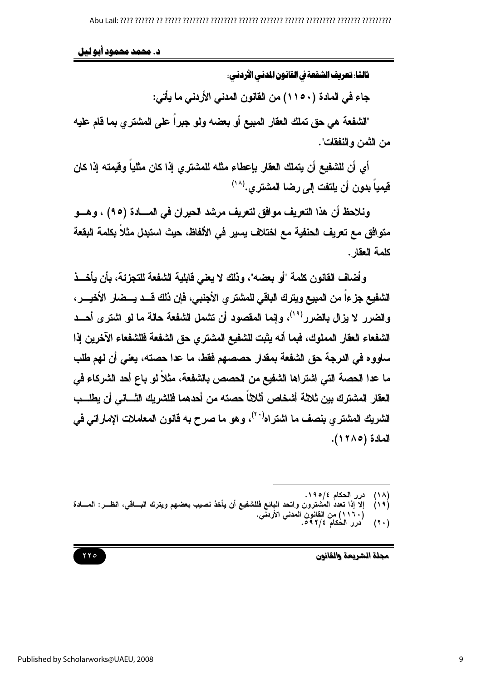د. محمد محمود ابو ليل

ثالثًا: تعريف الشفعة في القانون المدنى الأردني:

جاء في المادة (١١٥٠) من القانون المدنى الأردنى ما يأتى:

"الشفعة هي حق تملك العقار المبيع أو بعضه ولو جبراً على المشترى بما قام عليه من الثمن و النفقات".

أي أن للشفيع أن يتملك العقار بإعطاء مثله للمشتري إذا كان مثلياً وفيمته إذا كان فيمياً بدون أن يلتفت إلى رضا المشترى.(^`)

ونلاحظ أن هذا التعريف موافق لتعريف مرشد الحيران في المسادة (٩٥) ، وهسو متوافق مع تعريف الحنفية مع اختلاف يسير في الألفاظ، حيث استبدل مثلاً بكلمة البقعة كلمة العقار .

و أضاف القانون كلمة "أو بعضه"، وذلك لا بعني قابلية الشفعة للتجزئة، بأن بأخــذ الشفيع جزءاً من المبيع ويترك الباقي للمشتر ي الأجنبي، فإن ذلك قـــد يـــضار الأخيـــر ، والضرر لا يزال بالضرر<sup>(١٩)</sup>، وإنما المقصود أن تشمل الشفعة حالة ما لو اشترى أحــد الشفعاء العقار المملوك، فبما أنه يثبت للشفيع المشتر ي حق الشفعة فللشفعاء الآخرين إذا ساووه في الدرجة حق الشفعة بمقدار حصصهم فقط، ما عدا حصته، يعني أن لهم طلب ما عدا الحصة التي اشتراها الشفيع من الحصص بالشفعة، مثلاً لو باع أحد الشركاء في العقار المشترك بين ثلاثة أشخاص أثلاثاً حصته من أحدهما فللشريك الثساني أن يطلسب الشريك المشترى بنصف ما اشتراه<sup>(٢٠)</sup>، وهو ما صرح به قانون المعاملات الإماراتي في المادة (١٢٨٥).

 $(7 \cdot)$ 



درر الحكام ٤/٥٩٥.  $(1 \wedge)$ 

إلاَّ إذا تعددُ المُشترون واتحد البائع فللشفيع أن يأخذ نصيب بعضهم ويترك البـــاقي، انظــر: المـــادة  $(19)$ ـ (١١٦٠) من القانون المُعنى الأردنّي.<br>درر الحكام ٩٢/٤ه.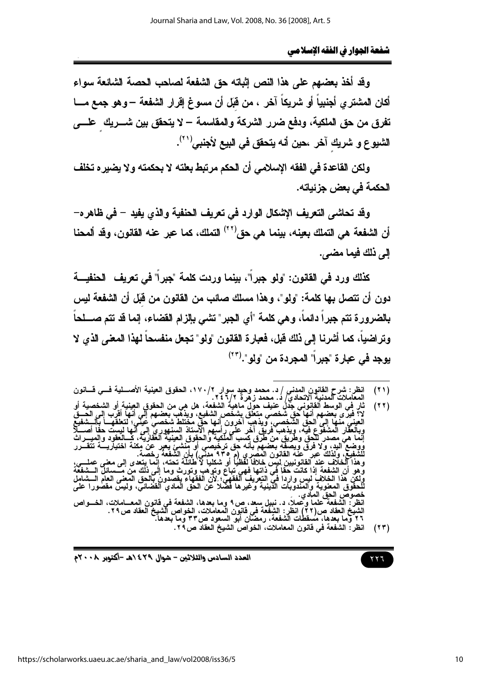وقد أخذ بعضهم على هذا النص إثباته حق الشفعة لصاحب الحصة الشائعة سواء أكان المشترى أجنبياً أو شريكاً آخر ، من قبَل أن مسوغ إقرار الشفعة –وهو جمع مـــا تفرق من حق الملكية، ودفع ضرر الشركة والمقاسمة – لا يتحقق بين شـــريك علــــي الشيوع و شريك آخر ،حين أنه يتحقق في البيع لأجنبي<sup>(٢١</sup>).

ولكن القاعدة في الفقه الإسلامي أن الحكم مرتبط بعلته لا بحكمته ولا يضير ه تخلف الحكمة في بعض جزئياته.

وقد تحاشي التعريف الإشكال الوارد في تعريف الحنفية والذي يفيد – في ظاهره– أن الشفعة هي التملك بعينه، بينما هي حق\'`' التملك، كما عبر عنه القانون، وقد ألمحنا الم ذلك فيما مضي.

كذلك ورد فى القانون: "ولو جبراً"، بينما وردت كلمة "جبراً" فى تعريف الحنفيــــة دون أن تتصل بها كلمة: "ولو"، وهذا مسلك صائب من القانون من فَبَل أن الشفعة ليس بالضرورة تتم جبراً دائماً، وهي كلمة "أي الجبر" تشى بإلزام القضاء، إنما قد تتم صــــلحاً وتر اضياً، كما أشرنا إلى ذلك قبل، فعبارة القانون "ولو" تجعل منفسحاً لهذا المعنى الذي لا بوجد في عبار ة "جبر اً" المجردة من "ولو".(٢٣

 $(55)$ 



العدد السادس والثلاثين – شوال ٤٢٩ ٥هـ -أكتوبر ٢٠٠٨م

انظر : شرح القانون المدن*ي | د*. محمد وحيد سوار ١٧٠/٢، الحقوق العينية الأصــــلية فـــي فــــانون<br>المعاملات المدنية الاتحادي/ د. محمد زهرة ٢٤٦/٢.  $(11)$ 

<sup>.&</sup>lt;br>اهية الشفعة، هل هي من الحقوق العينية أو الشخصية أو<br>شخص الشفيع، ويذهب بعضهم إلى أنها أقرب إلى الحــق  $(55)$ ون أنـها حَقّ مَخْتَلطْ شَخصـيْ عَيْنَي؛ لنـعلقَهـــأ بـألــــث<br>ي رأسـهم الأستاذ السنـهوري إلـي انـها ليست حقاً أص<br>الملكية والـحقوق الـعينية الـعقارية، كــــالـعقود وإلمـيـــ بانه حق ترخيص*ي* <sub>ا</sub>و م 4 القانون اله وتنت غير لحمه العامون المصري (م 5 71 مليي) بان السقعة رحصة.<br>للأف عند القانونيين لبس خلافا لفظيا أو شكليا لا طائلة تحته، إنما يتعدى إلى معنى عملــــي،<br>الشفعة إذا كانت حقا في ذاتها فهي تباع وتوهب وتورث وما إلى ذلك من مــــس انظر: الشفعة علماً وحملاً، د. نبيل سعد، ص٩ وما بعدها، الشفعة في قانون المعـــاملات، الخـــواص<br>الشيخ العقاد ص(٢٢) انظر: الشفعة في قانون المعاملات، الخواص الشيخ العقاد ص٢٩.<br>٢٦ وما بعدها، مسقطات الشفعة، رمضان أبو السعود ص٣٣ انظر: الشفعة في قانون المعاملات، الخواص الشيخ العقاد ص ٢٩.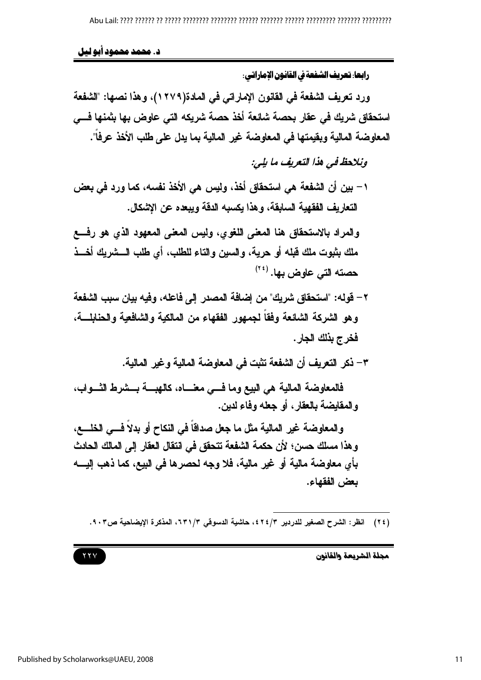Published by Scholarworks@UAEU, 2008

د. محمد محمود ابو ليل

رابعا. تعريف الشفعة في القانون الإماراتي.

ورد تعريف الشفعة في القانون الإماراتي في المادة(١٢٧٩)، وهذا نصها: "الشفعة استحقاق شريك في عقار بحصة شائعة أخذ حصة شريكه التي عاوض بها بثمنها فـــي المعاوضة المالية ويقيمتها في المعاوضة غير المالية بما يدل على طلب الأخذ عرفاً".

ونلاحظ فى هذا التعريف ما يلي:

١ – بين أن الشفعة هي استحقاق أخذ، وليس هي الأخذ نفسه، كما ورد في بعض التعار بف الفقهية السابقة، و هذا بكسبه الدقة و يبعده عن الاشكال.

والمراد بالاستحقاق هنا المعنى اللغوى، وليس المعنى المعهود الذي هو رفسع ملك بِثبوت ملك قبله أو حرية، والسين والتاء للطلب، أي طلب الــــشريك أخـــذ حصته التي عاوض بها. <sup>(٢٤)</sup>

٢ – قوله: "استحقاق شريك" من إضافة المصدر إلى فاعله، وفيه بيان سبب الشفعة وهو الشركة الشائعة وفقاً لجمهور الفقهاء من المالكية والشافعية والحنابلــــة، فخرج بذلك الجار .

٣– ذكر التعريف أن الشفعة تثبت في المعاوضة المالية وغير المالية.

فالمعاوضة المالية هي البيع وما فسي معنساه، كالهبسة بسشرط الثسواب، والمقايضة بالعقار ، أو جعله وفاء لدين.

والمعاوضة غير المالية مثل ما جعل صداقاً في النكاح أو بدلاً فـــى الخلــــع، و هذا مسلك حسن؛ لأن حكمة الشفعة تتحقق في انتقال العقار إلى المالك الحادث بأي معاوضة مالية أو غير مالية، فلا وجه لحصرها في البيع، كما ذهب إليــــه يعض الفقهاء.

(٢٤) انظر: الشرح الصغير للدردير ٤٢٤/٣، حاشية الدسوفي ٢٣١/٣، المذكرة الإيضاحية ص٩٠٣.

 $YYV$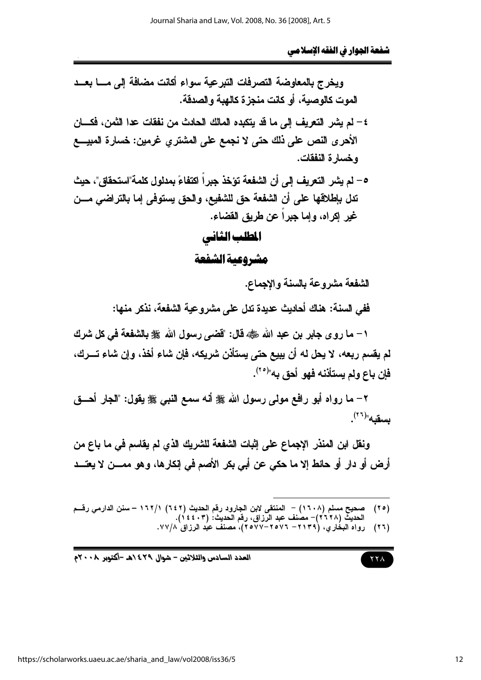ويخرج بالمعاوضة التصرفات التبرعية سواء أكانت مضافة إلى مسا بعسد الموت كالوصية، أو كانت منجزة كالهبة والصدقة. ٤ – لم يشر التعريف إلى ما قد يتكبده المالك الحادث من نفقات عدا الثمن، فكـــان الأحرى النص على ذلك حتى لا نجمع على المشترى غرمين: خسارة المبيــــع وخسار ة النفقات. ٥ – لم يشر التعريف إلى أن الشفعة تؤخذ جبر أ اكتفاعَ بمدلول كلمة"استحقاق"، حيث تدل بإطلاقها على أن الشفعة حق للشفيع، والحق يستوفي إما بالتراضي مـــن غير إكراه، وإما جبراً عن طريق القضاء. المطلب الثاني

مشروعية الشفعة

الشفعة مشروعة بالسنة والإجماع.

ففي السنة: هناك أحاديث عديدة تدل على مشروعية الشفعة، نذكر منها:

١ – ما روى جابر بن عبد الله صلى الله عنه، فال: "قضى رسول الله على بالشفعة في كل شرك لم يقسم ربعه، لا يحل له أن يبيع حتى يستأذن شريكه، فإن شاء أخذ، وإن شاء تـــرك، فإن باع ولم يستأننه فهو أحق به"<sup>(٢٥)</sup>.

٢– ما رواه أبو رافع مولى رسول الله ﷺ أنه سمع النبي ﷺ يقول: "الجار أحـــق  $\mathbf{u}^{(\tau\tau)}$ بسقبه

ونقل ابن المنذر الإجماع على إثبات الشفعة للشريك الذي لم يقاسم في ما باع من أرض أو دار أو حائط إلا ما حكى عن أبي بكر الأصم في إنكارها، وهو ممـــن لا يعتـــد

- صحيح مسلم (١٦٠٨) المنتقى لابن الجارود رفَّم الحديث (٢٤٢) ١٦٢/١ سنن الدارمي رفَّــم  $(50)$ الحديث (٢٦٦٨)– مصنف عبد الرزاق، رقم الحديث: (٣٠٤٤٦).<br>رواه البخاري، (٣١٣٩– ٢٥٧–٢٥٧٧، مصنف عبد الرزاق ٧٧/٨.
	- $(55)$

العدد السادس والثلاثين – شوال ٢٩٤/هـ -أكتوبر ٢٠٠٨م

 $\gamma \gamma \wedge$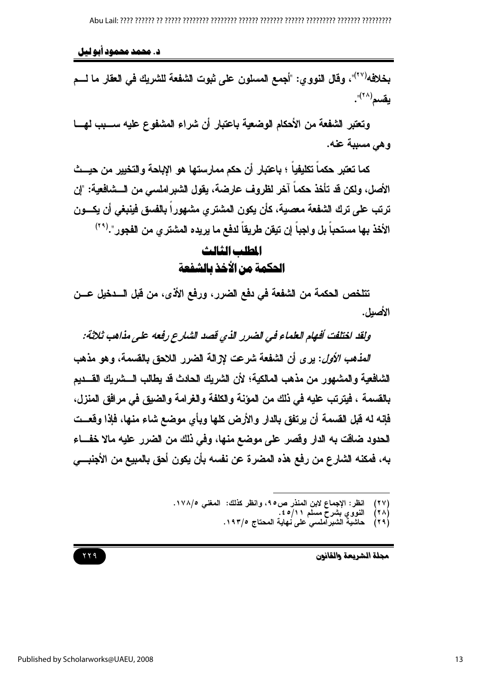د. محمد محمود آبو لیل

بخلافه<sup>(٢٧)</sup>"، وقال النووى: "أجمع المسلون على ثبوت الشفعة للشريك في العقار ما لـــم  $\cdot$ "(\* \*)

وتعتبر الشفعة من الأحكام الوضعية باعتبار أن شراء المشفوع عليه ســـبب لهـــا وهي مسببة عنه.

كما تعتبر حكماً تكليفياً ؛ باعتبار أن حكم ممارستها هو الإباحة والتخيير من حيــث الأصل، ولكن قد تأخذ حكماً آخر انظروف عارضة، بقول الشير املسي من الـــشافعية: "إن ترتب على ترك الشفعة معصية، كأن يكون المشترى مشهوراً بالفسق فينبغى أن يكسون الأخذ بها مستحباً بل واجباً إن تيقن طريقاً لدفع ما يريده المشتر ي من الفجور ".<sup>(٢٩)</sup>

# المللب الثالث الحكمة من الأخذ بالشفعة

تتلخص الحكمة من الشفعة في دفع الضرر ، ورفع الأذي، من قبل السدخيل عسن الأصلل.

ولقد اختلفت أفهام العلماء في الضرر الذي قصد الشارع رفعه على مذاهب ثلاثة:

العذهب الأول: بر ي أن الشفعة شرعت لاز الة الضرر اللاحق بالقسمة، وهو مذهب الشافعية والمشهور من مذهب المالكية؛ لأن الشريك الحادث قد يطالب الـــشريك القـــديم بالقسمة ، فيترتب عليه في ذلك من المؤنة والكلفة والغرامة والضيق في مرافق المنزل، فإنه له قبل القسمة أن يرتفق بالدار والأرض كلها وبأى موضع شاء منها، فإذا وقعــت الحدود ضافت به الدار وقصر على موضع منها، وفي ذلك من الضرر عليه مالا خفساء به، فمكنه الشارع من رفع هذه المضرة عن نفسه بأن يكون أحق بالمبيع من الأجنبـــى

> انظر: الإجماع لابن المنذر ص٥٩، وانظر كذلك: المغني ١٧٨/٥.  $(11)$

- $(7 \wedge)$
- النووي بشرحٌ مسلّم ۶/۱۱ُ).<br>حاشية الشبراملسي على نهاية المحتاج ١٩٣/٥.  $(19)$

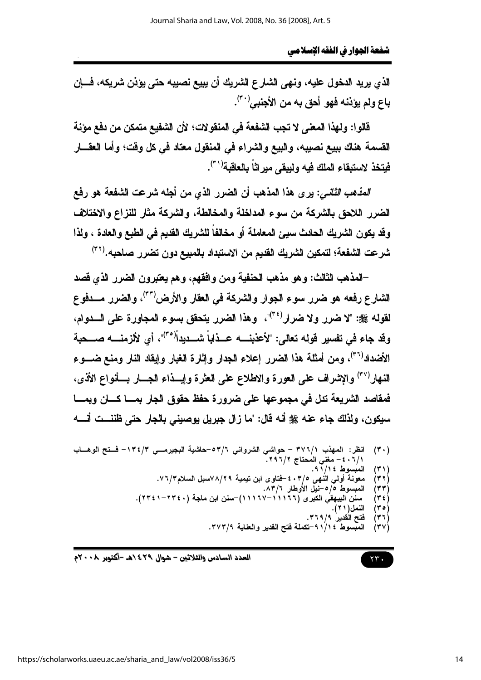الذي يريد الدخول عليه، ونهي الشارع الشريك أن يبيع نصيبه حتى يؤذن شريكه، فسإن باع ولم يؤننه فهو أحق به من الأجنبي<sup>(٣٠)</sup>.

قالوا: ولهذا المعنى لا تجب الشفعة في المنقولات؛ لأن الشفيع متمكن من دفع مؤنة القسمة هناك ببيع نصيبه، والبيع والشراء في المنقول معتاد في كل وقت؛ وأما العقـــار فيتخذ لاستبقاء الملك فيه وليبقى ميراثاً بالعاقبة'<sup>٣١</sup>).

ا*لعذهب الثاني:* يرى هذا المذهب أن الضرر الذي من أجله شرعت الشفعة هو رفع الضرر اللاحق بالشركة من سوء المداخلة والمخالطة، والشركة مثار للنزاع والاختلاف وقد يكون الشريك الحادث سيئ المعاملة أو مخالفاً للشريك القديم في الطبع والعادة ، ولذا شرعت الشفعة؛ لتمكين الشريك القديم من الاستبداد بالمبيع دون تضرر صاحبه.(٣٢)

–المذهب الثالث: وهو مذهب الحنفية ومن وافقهم، وهم يعتبرون الضرر الذي قصد الشارع رفعه هو ضرر سوء الجوار والشركة في العقار والأرض<sup>(٣٣)</sup>، والضرر مـــدفوع لقوله ﷺ: "لا ضرر ولا ضرار<sup>(٣٤)</sup>"، وهذا الضرر يتحقق بسوء المجاورة على السدوام، وقد جاء في تفسير قوله تعالى: "لأعذبنــــه عـــذاباً شــــديداً<sup>(٣٥</sup>"، أي لألزمنــــه صــــحبة الأضداد<sup>(٣٦)</sup>، ومن أمثلة هذا الضرر إعلاء الجدار وإثارة الغبار وإيقاد النار ومنع ضـــوع النهار<sup>(٣٧</sup>) والإشراف على العورة والإطلاع على العثرة وإيسذاء الجسار بسأنواع الأذي، فمقاصد الشريعة تدل في مجموعها على ضرورة حفظ حقوق الجار بمسا كسان وبمسا سيكون، ولذلك جاء عنه ﷺ أنه قال: "ما زال جبريل يوصيني بالجار حتى ظننست أنسه

- انظر: المهذب ٣٧٦/١ حواشي الشرواني ٥٣/٦-حاشية البجيرمــي ٥٣/٢- فــتح الوهــاب  $(\mathbf{r} \cdot)$ ٠/١/ ٤٠ - مغني المُحتاج ٢٩٦/٢.
	- $(4)$
	- معونة أولي النهى 1 °F + ±-فتاوى ابن تيمية 4 'A \^ \'مسل السلام ٣ / ٧ ٦.<br>المبسوط 0 /0 –نيل الأوطار 7 A ٣ .  $(77)$ 
		- $(\tau\tau)$
	- سنن آلبيهقُي الكَبَرى (١١١٦٦-١١١٦٧)-سنن ابن ماجة (٢٣٤١-٢٣٤١).  $(75)$ 
		- النمل(٢١). (۴۰ ) فتح الُقدير` ٣٦٩/٩.  $(77)$

 $\mathbf{y} \mathbf{y}$ 

- المبسوط ٤ ١/ ٩ -تكملة فتح القدير والعناية ٣٧٣/٩.  $(YV)$
- 

العدد السادس والثلاثين – شوال ٢٩٤/هـ -أكتوبر ٢٠٠٨م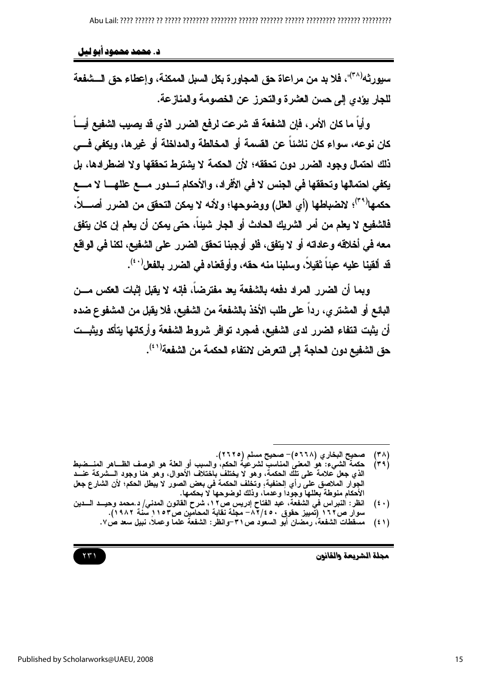د. محمد محمود آبو لیل

سبور ثه<sup>(٣٨</sup>)"، فلا بد من مر اعاة حق المجاور ة بكل السبل الممكنة، وإعطاء حق الـــشفعة للجار يؤدي إلى حسن العثيرة والتحرز عن الخصومة والمنازعة.

وأياً ما كان الأمر ، فإن الشفعة قد شرعت لرفع الضرر الذي قد يصيب الشفيع أيساً كان نوعه، سواء كان ناشئا عن القسمة أو المخالطة والمداخلة أو غيرها، ويكفي فـــي ذلك احتمال وجود الضرر دون تحققه؛ لأن الحكمة لا بشترط تحققها ولا اضطرادها، بل يكفي احتمالها وتحققها في الجنس لا في الأفراد، والأحكام تـــدور مــــع عللهـــــا لا مـــــع حكمها<sup>(٣٩)</sup>؛ لاضباطها (أي العلل) ووضوحها؛ ولأنه لا يمكن التحقق من الضرر أصــــلا، فالشفيع لا بعلم من أمر الشريك الحادث أو الجار شبئا، حتى بمكن أن بعلم إن كان بتفق معه في أخلاقه وعاداته أو لا يتفق، فلو أوجبنا تحقق الضرر على الشفيع، لكنا في الواقع قد ألقينا عليه عبئاً تُقيلاً، وسلبنا منه حقه، وأوقعناه في الضرر بالفعل'<sup>٤٠</sup>).

ويما أن الضرر المراد دفعه بالشفعة يعد مفترضاً، فإنه لا يقبل إثبات العكس مـــن البِائِع أو المشترى، رداً على طلب الأخذ بِالشفعة من الشفيع، فلا يقبل من المشفوع ضده أن يثبت انتفاء الضرر لدى الشفيع، فمجرد توافر شروط الشفعة وأركانها يتأكد ويثبــت حق الشفيع دون الحاجة الى التعرض لانتفاء الحكمة من الشفعة<sup>(٤١)</sup>.



صحيح البخار ى (٢٦٦٨ه)– صحيح مسلم (٢٦٢٥).  $(\forall \wedge)$ 

حكمةُ الشَّـيءُ: هُوُ المعنىُ المناسبُ لشرعٰيةُ الحكم، والسبب أو العلَّة هو الوصف الظـــاهر المنـــضبط<br>الذي جعل علامة على تلك الحكمة، وهو لا يختلف باختلاف الأحوال، وهو هنا وجود الـــشركة عنـــد  $(49)$ الجوَّار الملاصق على رأي الحنفية، وتخلف الحكمة في بعض الصور لا يبطل الحكم؛ لأن الشّارع جعل<br>الأحكام منوطة بعللها وجوداً وعدماً، وذلك لوضوحها لا بحكمها.

انظر : النبراس في الشفعة، عبد الفتاح إدريس ص١٢، شرح القانون المدني/ د.محمد وحيــد الـــدين  $(\mathfrak{t} \cdot)$ سوار ص١٦٢ (تَمييز حقوق ٤٥٠/ ٨٦- مجلة نقابة المحامّين ص١٥٣ ِسَنْة ١٩٨٢).

مسقطات الشفعة، رمضان أبو السعود ص٣١-وانظر: الشفعة علما وعملا، نبيل سعد ص٧.  $(51)$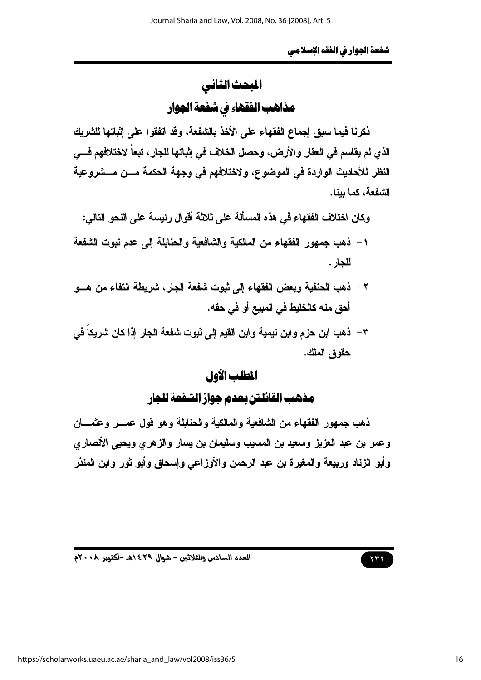# المبحث الثاني مذاهب الفقهاء في شفعة الجوار

ذكرنا فيما سبق إجماع الفقهاء على الأخذ بالشفعة، وقد اتفقوا على إثباتها للشريك الذي لم يقاسم في العقار والأرض، وحصل الخلاف في إثباتها للجار، تبعاً لاختلافهم فـــي النظر للأحاديث الواردة في الموضوع، ولاختلافهم في وجهة الحكمة مسن مسشروعية الشفعة، كما بينا.

وكان اختلاف الفقهاء في هذه المسألة على ثلاثة أقوال رئيسة على النحو التالي:

- ١ ذهب جمهور الفقهاء من المالكية والشافعية والحنابلة إلى عدم ثبوت الشفعة للجار .
- ٢ ذهب الحنفية ويعض الفقهاء الى ثيوت شفعة الجار ، شريطة انتفاء من هــو أحق منه كالخليط في المبيع أو في حقه.
- ٣ ذهب ابن حزم وابن تيمية وابن القيم إلى ثبوت شفعة الجار إذا كان شريكاً في حقوق الملك.

# المطلب الأول

# مذهب القائلتن بعدم جواز الشفعة للجار

ذهب جمهور الفقهاء من الشافعية والمالكية والحنابلة وهو قول عمسر وعثمسان وعمر بن عبد العزيز وسعيد بن المسيب وسليمان بن يسار والزهري ويحيى الأنصاري وأبو الزناد وربيعة والمغيرة بن عبد الرحمن والأوزاعي وإسحاق وأبو ثور وابن المنذر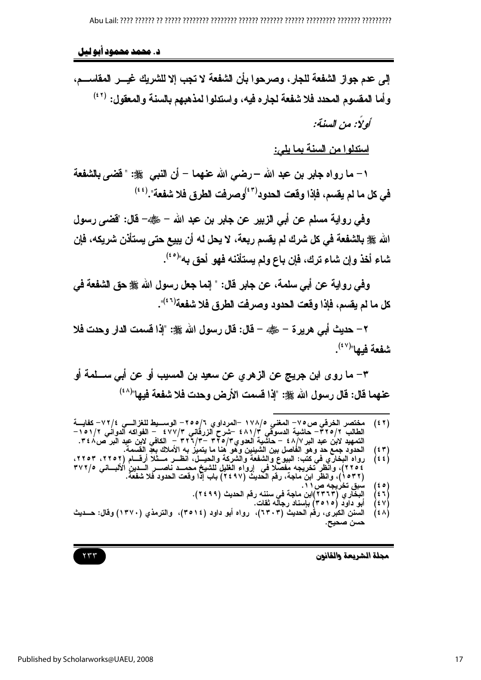### د. محمد محمود آبو لیل

إلى عدم جواز الشفعة للجار، وصرحوا بأن الشفعة لا تجب إلا للشريك غيـــر المقاســـم، وأما المقسوم المحدد فلا شفعة لجاره فيه، واستدلوا لمذهبهم بالسنة والمعقول: (٤٢)

كولا: من السنة:

استدلوا من السنة بما يلي:

١– ما رواه جابر بن عبد الله –رضي الله عنهما – أن النبي ﷺ: "فَضَى بِالشَّفعة في كل ما لم يقسم، فإذا وقعت الحدود<sup>(41)</sup>وصرفت الطرق فلا شفعة".<sup>(44)</sup>

وفي رواية مسلم عن أبي الزبير عن جابر بن عبد الله – ﷺ– قال: "قضي رسول الله صلى الشفعة في كل شرك لم يقسم ربعة، لا يحل له أن يبيع حتى يستأذن شريكه، فإن شاء أخذ وإن شاء ترك، فإن باع ولم يستأذنه فهو أحق به"<sup>(٤٥)</sup>.

وفي رواية عن أبي سلمة، عن جابر قال: " إنما جعل رسول الله ﷺ حق الشفعة في كل ما لم يقسم، فإذا وفّعت الحدود وصرفت الطرق فلا شفعة<sup>(٤٦)</sup>".

٢ – حديث أبي هرير ة – رضي – قال: قال رسول الله صلى: "إذا قسمت الدار وحدت فلا شفعة فيها"<sup>(٤٧)</sup>.

٣– ما روري ابن جريج عن الزهرري عن سعيد بن المسيب أو عن أبي ســـلمة أو عنهما قال: قال رسول الله ﷺ: "إذا قسمت الأرض وحدت فلا شفعة فيها"<sup>(٤٨</sup>)

- مختصر الخرقي ص٥٧٥ المغني ١٧٨/٥ –المرداوي ٦/٥٥/٦ الوســـبط للغزالـــي ٧٢/٤- كفايـــة<br>الطالب ٣٢٥/٢ حاشية الدسوقي ٤٨١/٣ –شرح الزرقاني ٤٧٧/٣ الفواكه الدواني ١٥١/٢<br>التمهيد لابن عبد البر ٩/٨/ حاشية العدوي١٧٩/٣ ٣٢١/٣  $(5 7)$
- $\binom{\mathfrak{e}\ \mathfrak{r}}{\mathfrak{e}\ \mathfrak{e}}$ 
	- $(50)$
	- الِبِخَارِي (٢٣٦٣)ابن ماجة في سننه رفم الحديث (٢٤٩٩).  $\begin{pmatrix} \epsilon & \gamma \\ \epsilon & \gamma \end{pmatrix}$ 
		- ابو داود (۲۰۱۰) باسناد رجاله ثقات.
- السنن الكبِّري، رقْم الحديث (٦٣٠٣)، رواه أبو داود (٣٥١٤)، والترمذي (١٣٧٠) وقال: حـــديث  $(3 \wedge)$ حسن صحيح.

مجلة الشريعة والقانون

#### $\gamma \gamma \gamma$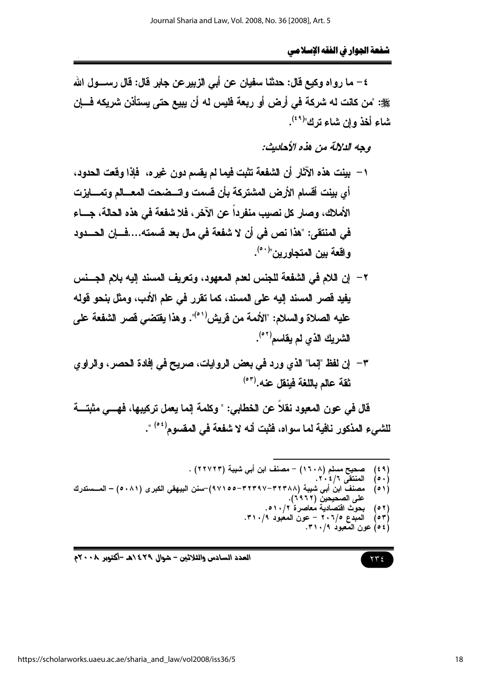٤ – ما رواه وكيع قال: حدثنا سفيان عن أبي الزييرعن جابر قال: قال رســـول الله ﷺ: "من كانت له شركة في أرض أو ريعة فليس له أن بييع حتى يستأنن شريكه فسإن شاء أخذ وإن شاء ترك"<sup>(٤٩)</sup>.

وحه الدلالة من هذه الأحاديث:

- ١ بينت هذه الآثار أن الشفعة تثبت فيما لم يقسم دون غير ه، فإذا وقعت الحدود، أى بينت أقسام الأرض المشتركة بأن قسمت واتسضحت المعسالم وتمسايزت الأملاك، وصار كل نصيب منفرداً عن الآخر، فلا شفعة في هذه الحالة، جـــاء في المنتقى: "هذا نص في أن لا شفعة في مال بعد فسمته....فـــإن الحـــدود و اقعة بين المتحاورين"<sup>(٥٠)</sup>.
- ٢ إن اللام في الشفعة للجنس لعدم المعهود، وتعريف المسند إليه بلام الجسنس يفيد قصر المسند إليه على المسند، كما تقرر في علم الأدب، ومثل بنحو قوله عليه الصلاة والسلام: "الأئمة من فريش'<sup>٥١</sup>". وهذا يقتضى قصر الشفعة عل*ى* الشريك الذي لم يقاسم<sup>(٥٢)</sup>.
- ٣– إن لفظ "إنما" الذي ورد في بعض الروايات، صريح في إفادة الحصر ، والراوي ثقة عالم باللغة فبنقل عنه.(°°)

قال في عون المعبود نقلاً عن الخطابي: " وكلمة إنما يعمل تركيبها، فهـــي مثبتـــة للشيء المذكور نافية لما سو إه، فثبت أنه لا شفعة في المقسوم<sup>(06)</sup> ".

صحيح مسلم (١٦٠٨) - مصنف ابن أبي شيبة (٢٢٧٢٣) .  $(59)$ المنتقى ٦/٤٠٢.  $( \circ \cdot )$ مصنف ابنُ أبي شيبة (٣٢٣٨٨–٣٢٣٩٧–٩٧١٥)–سنن البيهقي الكبرى (٨٠٨١) – المــستدرك  $(01)$ على الصحيحين (٢٩٦٢). بحوّث اقتصاديّة مُعاصرة` ٥١٠/٢.  $(0 7)$ المعبدع ٢٠٦/٥ - عون المعبود ٣١٠/٩.  $(01)$ (٥٤) عون المعبود ٢١٠/٩.

$$
\gamma \gamma \epsilon
$$

العدد السادس والثلاثين - شوال ٢٩٤/هـ -أكتوبر ٢٠٠٨م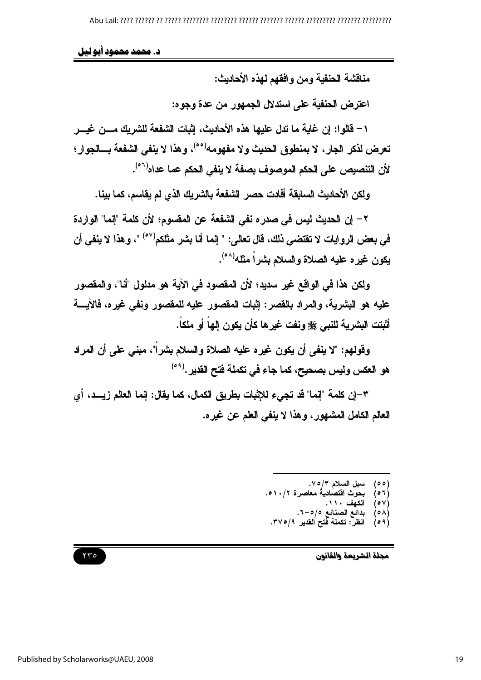## د. محمد محمود ابو لیل

مناقشة الحنفية ومن وافقهم لهذه الأحاديث:

اعترض الحنفية على استدلال الجمهور من عدة وجوه:

١ – فَالو إ: إن غابة ما تدل عليها هذه الأحاديث، اثبات الشفعة للشر بك مـــن غيـــر تعرض لذكر الجار ، لا بمنطوق الحديث ولا مفهومه<sup>(٥٠)</sup>، وهذا لا ينفى الشفعة بـــالجوار ؛ لأن التنصيص على الحكم الموصوف بصفة لا ينفى الحكم عما عداه<sup>(٥٦)</sup>.

ولكن الأحاديث السابقة أفادت حصر الشفعة بالشريك الذي لم يقاسم، كما بينا.

٢ – إن الحديث ليس في صدر ه نفي الشفعة عن المقسوم؛ لأن كلمة "إنما" الواردة في بعض الروايات لا تقتضي ذلك، قال تعالى: " إنما أنا بشر مثلكم<sup>(٥٧)</sup> "، وهذا لا ينفي أن يكون غيره عليه الصلاة والسلام بشراً مثله<sup>(٥٨)</sup>.

ولكن هذا في الواقع غير سديد؛ لأن المقصود في الآية هو مدلول "أنا"، والمقصور عليه هو البشرية، والمراد بالقصر: إثبات المقصور عليه للمقصور ونفي غيره، فالآيسة أَتْبِتَت البِشْرِية للنَّبِي ﷺ ونفت غيرِها كأن يكون إلهاً أو ملكاً.

وقولهم: "لا ينفي أن يكون غيره عليه الصلاة والسلام بشراً"، مبنى على أن المراد هو العكس وليس بصحيح، كما جاء في تكملة فتح القدير .<sup>(٥٩)</sup>

٣–إن كلمة "إنما" قد تجيء للإثبات بطريق الكمال، كما يقال: إنما العالم زيـــد، أي العالم الكامل المشهور، وهذا لا ينفي العلم عن غيره.

- سبل السلام ٧/٥/٣.<br>بحوث اقتصادية معاصرة ٥١٠/٢.  $(00)$ 
	- $(0.7)$ 
		- الكفف  $(0V)$
- بدائع الصنائع 0/0–٦.<br>انظر : تكملة فتح القدير ٣٧٥/٩.  $(0 \wedge)$  $(0.9)$

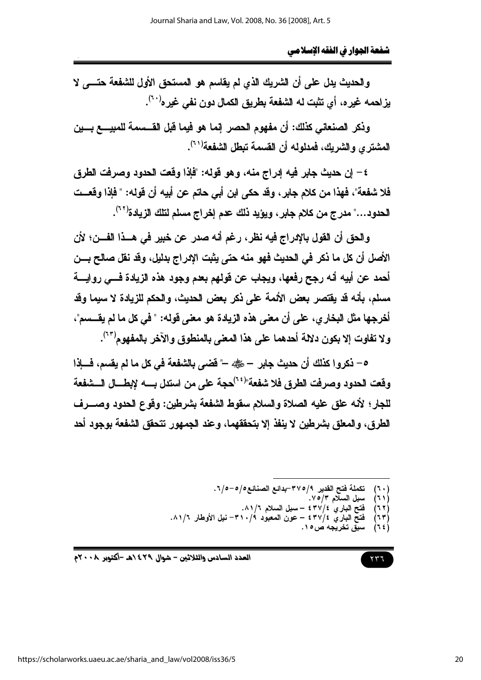والحديث يدل على أن الشريك الذي لم يقاسم هو المستحق الأول للشفعة حتـــى لا يز احمه غير ه، أي تثبت له الشفعة بطريق الكمال دون نفي غير ه<sup>(٢٠)</sup>.

وذكر الصنعاني كذلك: أن مفهوم الحصر إنما هو فيما فَبِل القـــسمة للمبيـــــع بــــين المشتر ي و الشر بك، فمدلوله أن القسمة تبطل الشفعة(٦٠).

٤ – إن حديث جابر فيه إدراج منه، وهو قوله: "فإذا وقعت الحدود وصرفت الطرق فلا شفعة"، فهذا من كلام جابر ، وقد حكى ابن أبي حاتم عن أبيه أن قوله: " فإذا وقعــت الحدود…" مدرج من كلام جابر ، ويؤيد ذلك عدم إخراج مسلم لتلك الزيادة<sup>(٢٢)</sup>.

والحق أن القول بالإدراج فيه نظر، رغم أنه صدر عن خبير في هــذا الفـــن؛ لأن الأصل أن كل ما ذكر في الحديث فهو منه حتى يثبت الإدراج بدليل، وقد نقل صالح بـــن أحمد عن أبيه أنه رجح رفعها، ويجاب عن قولهم بعدم وجود هذه الزيادة فسي روايسة مسلم، بأنه قد يقتصر بعض الأئمة على ذكر بعض الحديث، والحكم للزيادة لا سيما وقد أخرجها مثل البخار ي، على أن معنى هذه الزيادة هو معنى قوله: " في كل ما لم يقـــسم"، ولا تفاوت إلا بكون دلالة أحدهما على هذا المعنى بالمنطوق والآخر بالمفهوم<sup>(٦٣)</sup>.

ه – ذكروا كذلك أن حديث جابر – رضي –" فضى بالشفعة في كل ما لم يقسم، فسإذا للجار؛ لأنه علق عليه الصلاة والسلام سقوط الشفعة بشرطين: وفوع الحدود وصـــرف الطرق، والمعلق بشرطين لا ينفذ إلا بتحققهما، وعند الجمهور تتحقق الشفعة بوجود أحد

- تكملة فتح القدير ٣٧٥/٩-بدائع الصنائع0/0-0/7.
	- (۶۱۱
- نكفله قليح القدير ٢/٥/٦-بدائع الصنائع0/٥-٥/٢ .<br>سبل السلام ٥/٣.<br>فتح الباري ٤/٤٧٢ سبل السلام ٢/١/١.<br>فتح الباري ٤/٤٧٢ عون المعبود ٣١٠/٩- نيل الأوطار ٨١/٦.<br>فتح الباري ٤٣٧/٤ عون المعبود ٣١٠/٩- نيل الأوطار ٨١/٦.  $(11)$ 
	- $(77)$  $(15)$
	-

$$
\mathbf{u}^{\prime\prime}
$$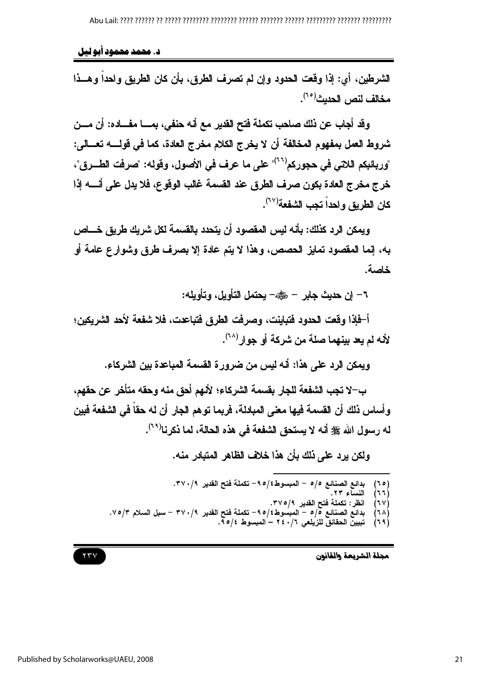د. محمد محمود آبو لیل

الشرطين، أي: إذا وقعت الحدود وإن لم تصرف الطرق، بأن كان الطريق واحداً وهــذا مخالف لنص الحديث<sup>(٢٥)</sup>.

وقد أجاب عن ذلك صاحب تكملة فتح القدير مع أنه حنفي، بمــــا مفــــاده: أن مــــن شروط العمل بمفهوم المخالفة أن لا يخرج الكلام مخرج العادة، كما في قولــــــــه تعــــالي: "وربائبكم اللاتي في حجوركم<sup>(٢٠٦)</sup>" على ما عرف في الأصول، وقوله: "صرفت الطـــرق"، خرج مخرج العادة بكون صرف الطرق عند القسمة غالب الوقوع، فلا يدل على أنسه إذا كان الطريق واحداً تجب الشفعة'<sup>(٦٧</sup>).

ويمكن الرد كذلك: بأنه ليس المقصود أن يتحدد بالقسمة لكل شريك طريق خــــاص به، إنما المقصود تمايز الحصص، وهذا لا يتم عادة إلا بصرف طرق وشوارع عامة أو خاصة.

٦– إن حديث جابر – رضي - يحتمل التأويل، وتأويله:

أ-فإذا وفعت الحدود فتباينت، وصرفت الطرق فتباعدت، فلا شفعة لأحد الشريكين؛ لأنه لم بعد ببنهما صلة من شركة أو جوار (٢٨).

ويمكن الرد على هذا: أنه ليس من ضرور ة القسمة المباعدة بين الشركاء.

ب–لا تجب الشفعة للجار بقسمة الشركاء؛ لألهم أحق منه وحقه متأخر عن حقهم، و أساس ذلك أن القسمة فيها معنى المبادلة، فريما توهم الجار أن له حقاً في الشفعة فبين له رسول الله ﷺ أنه لا يستحق الشفعة في هذه الحالة، لما ذكرنا(٢٩).

ولكن برد على ذلك بأن هذا خلاف الظاهر المتبادر منه.

- بدائع الصنائع 0/0 المبسوط؟/0٩- تكملة فتح القدير ٣٧٠/٩.<br>النساء ٢٣.  $(50)$ 
	- ì٦٦ý  $(7V)$
- انظر : تكملة فتح القدير ٣٧٥/٩.<br>بدائع الصنائع ٥/٥ المبسوط٤/٥٩ تكملة فتح القدير ٣٧٠/٩ سبل السلام ٧٥/٣.  $(7\Lambda)$ 
	- $(79)$ تبِيبِنّ الحقائقّ للزّيلعي ٦/٠/٢ – المبسوط ٩/٥/٤.

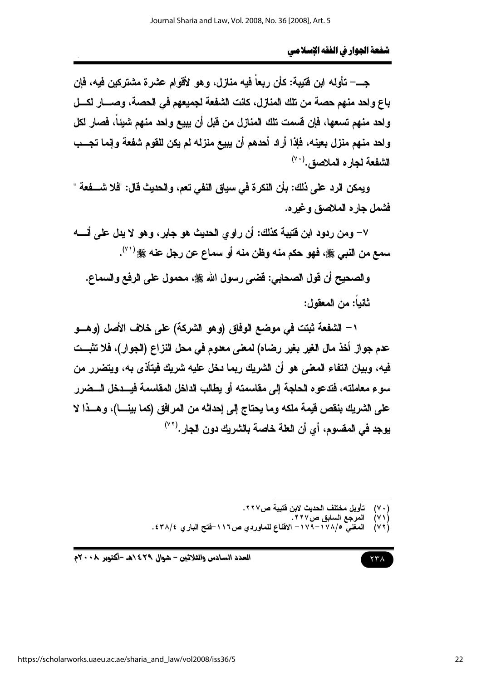جــــــ تأوله ابن فتيبة: كأن ربعاً فيه منازل، وهو الأقوام عثىرة مشتركين فيه، فإن باع واحد منهم حصة من تلك المنازل، كانت الشفعة لجميعهم في الحصة، وصــــار اكـــل ولحد منهم تسعها، فإن قسمت تلك المنازل من قبل أن يبيع واحد منهم شيئاً، فصار لكل ولحد منهم منزل بعينه، فإذا أراد أحدهم أن يبيع منزله لم يكن للقوم شفعة وإنما تجــب الشفعة لجاره الملاصق. (٧٠)

ويمكن الرد على ذلك: بأن النكرة في سياق النفي تعم، والحديث قال: "فلا شــــفعة " فشمل جار ه الملاصق وغير ه.

٧– ومن ردود ابن فتيبة كذلك: أن راوي الحديث هو جابر، وهو لا يدل على أنسه سمع من النبي ﷺ، فهو حكم منه وظن منه أو سماع عن رجل عنه ﷺ ('").

والصحيح أن قول الصحابي: فَضي رسول الله ﷺ، محمول على الرفع والسماع. ثانياً: من المعقول:

١ – الشفعة ثبتت في موضع الوفاق (وهو الشركة) على خلاف الأصل (وهـــو عدم جواز أخذ مال الغير بغير رضاه) لمعنى معدوم في محل النزاع (الجوار)، فلا تثبــت فيه، وبيان انتفاء المعنى هو أن الشريك ربما دخل عليه شريك فيتأذى به، ويتضرر من سوء معاملته، فتدعوه الحاجة إلى مقاسمته أو يطالب الداخل المقاسمة فيسدخل السضرر على الشريك بنقص فيمة ملكه وما يحتاج إلى إحداثه من المرافق (كما بينـــا)، وهــذا لا بوجد في المقسوم، أي أن العلة خاصة بالشربك دون الجار .<sup>(٧٢)</sup>

> تأويل مختلف الحديث لابن فتيبة ص٢٢٧.  $(V \cdot)$

- $(\vee)$
- —ربي<br>المرجع السابق ص٢٢٧ .<br>المغني ١٧٨/٥–١٧٩– الاقناع للماوردي ص٢١١٦–فتح الباري ٣٨/٤.  $(\vee \vee)$

$$
\gamma\,\gamma\,\Lambda
$$

العدد السادس والثلاثين - شوال ٤٢٩ هـ -أكتوبر ٢٠٠٨م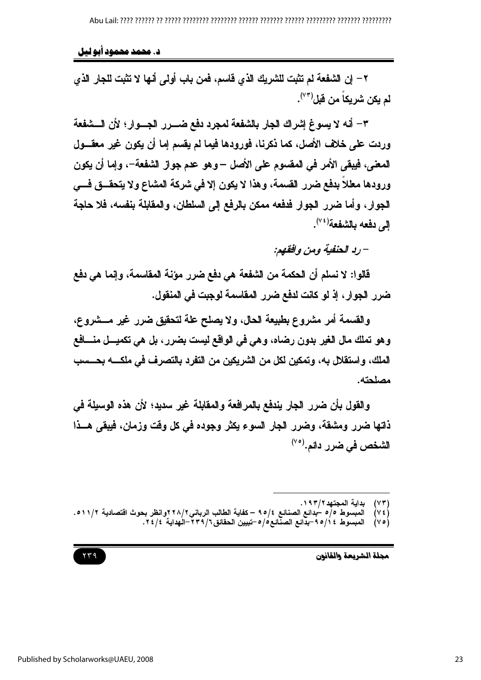د. محمد محمود آبو لیل

٢ – إن الشفعة لم تثبت للشريك الذي قاسم، فمن باب أولم، أنها لا تثبت للجار الذي لم يكن شريكاً من قبل<sup>(٧٣)</sup>.

٣– أنه لا يسوغ إشراك الجار بالشفعة لمجرد دفع ضــــرر الجــــوار؛ لأن الــــشفعة وردت على خلاف الأصل، كما ذكرنا، فورودها فيما لم يقسم إما أن يكون غير معقـــول المعنى، فيبقى الأمر في المقسوم على الأصل –وهو عدم جواز الشفعة–، وإما أن يكون ورودها معللًا بدفع ضرر القسمة، وهذا لا يكون إلا في شركة المشاع ولا يتحقــق فـــي الجوار ، وأما ضرر الجوار فدفعه ممكن بالرفع إلى السلطان، والمقابلة بنفسه، فلا حاجة إلى دفعه بالشفعة<sup>(٤٧</sup>.

– رد الحنفية ومن وافقهم:

قالوا: لا نسلم أن الحكمة من الشفعة هي دفع ضرر مؤنة المقاسمة، وإنما هي دفع ضرر الجوار ، إذ لو كانت لدفع ضرر المقاسمة لوجبت في المنقول.

والقسمة أمر مشروع بطبيعة الحال، ولا يصلح علة لتحقيق ضرر غير مـــشروع، وهو تملك مال الغير بدون رضاه، وهي في الواقع ليست بضرر ، بل هي تكميـــل منــــافـع الملك، واستقلال به، وتمكين لكل من الشريكين من التفرد بالتصرف في ملكــــه بحـــسب مصلحته.

والقول بأن ضرر الجار يندفع بالمرافعة والمقابلة غير سديد؛ لأن هذه الوسيلة في ذاتها ضرر ومشقة، وضرر الجار السوع يكثر وجوده في كل وقت وزمان، فيبقى هــذا الشخص في ضرر دائم.<sup>(٧٥)</sup>

> بداية المجتهد ٢ / ١٩٣.  $(YY)$

- المبسوط ٥/٥ سُبدائع الصنائع ٩٥/٤ كفاية الطالب الرباني٢ ٢٨/٢ وانظر بحوث اقتصادية ١١/٢.٥.  $(VE)$ 
	- المبسوط ٤ أ/٩٥-بدَّائع الصنَّائع٥/٥-تبيين الحقائق٦/٢٣٩-الُهداية ٢٤/٤.  $(\vee \circ)$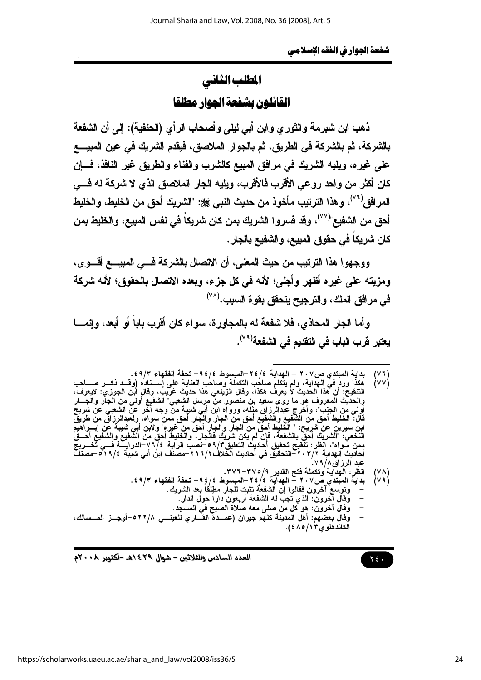# المطلب الثاني القائلهن يشفعة الحوار مطلقا

ذهب ابن شبرمة والثوري وابن أبي ليلي وأصحاب الرأي (الحنفية): إلى أن الشفعة بِالشِّرِكةِ، ثم بِالشِّرِكةِ في الطِّرِيقِ، ثم بِالجوارِ الملاصقِ، فيقدم الشِّريكِ في عينِ المبيـــع على غيره، ويليه الشريك في مرافق المبيع كالشرب والفناء والطريق غير النافذ، فسإن كان أكثر من واحد روعي الأقرب فالأقرب، ويليه الجار الملاصق الذي لا شركة له فسي المرافق( َ ``)، وهذا الترتيب مأخوذ من حديث النبي ﷺ: "الشريك أحق من الخليط، والخليط أحق من الشفيع"<sup>(٧٧)</sup>، وقد فسروا الشريك بمن كان شريكاً في نفس المبيع، والخليط بمن كان شريكاً في حقوق المبيع، والشفيع بالجار .

ووجهوا هذا الترتيب من حيث المعنى، أن الاتصال بالشركة فسي المبيسع أقسوي، ومزيته على غيره أظهر وأجلي؛ لأنه في كل جزء، ويعده الاتصال بالحقوق؛ لأنه شركة في مرافق الملك، والترجيح يتحقق بقوة السبب.<sup>(٧٨)</sup>

و أما الجار المحاذي، فلا شفعة له بالمجاور ة، سو اع كان أقرب بابا أو أبعد، و إنمـــا يعتبر قرب الباب في التقديم في الشفعة<sup>(٧٩)</sup>.

انظر : الهدآية وتكملة فتح القدير ٣٧٥/٩-٣٧٦.

- وعوضى سرون —تو.<br>وقال الهرون: الذي تجبّ له الشفعة أربعون داراً حول الدار .
	-
- وَقَالَ آخَرُونَ: هو كُلّ من صلى معه صلاة الصبح في المسجّد.<br>وَقَالَ بَعْضَهِم: أهل المدينة كلهم جيران (عمــدة القـــاري للعينـــي ٢٢/٨-أوجــز المـــسالك، الكاندهلو ي ١٣/٥/١٤).

 $Y \xi$ .

العدد السادس والثلاثين – شوال ٢٩٤ ٥هـ -أكتوبر ٢٠٠٨م

بداية المبتدي ص٢٠٧ – الهداية ٢٤/٤-المبسوط ٩٤/٤- تحفة الفقهاء ٤٩/٣.<br>هكذا وردٍ في الهداية، ولم يتكلم صاحب التكملة وصاحب العناية على إســناده (وقــد ذكــر صـ  $\begin{pmatrix} 0 & 1 \\ 0 & 0 \end{pmatrix}$ 

التنقيحُ: أن هذا الحديثُ لا يعرفُ هكذا، وقال الزيلعي هذا حديث غرّيبُ، وقالِ ابْنِ الجوزيُ: لايعرف، والحديث المعروف هُوَ ما روِّي سعيد بن منصورٌ من مرسل الشعبيٌ" الشفيع أولى من الجَبَّل والْجَـــارِ<br>أولى من الجنب"، وأخرج عبدالرزاق مثله، ورواه ابن أبي شبية من وجه آخر عن الشعبي عن شريح<br>قال: الخليط أحق من الشفيع والشفيع أح ممن سواه"، آنظر: تنقيح تحقيق أحاديثُ التعليقُ٣/٥٩-نصبُ الرَاية ٧٦/٤-الدرايـــة فَـــي تخـــريج<br>أحاديث الـهداية ٢/٣،٢-التحقيق في أحاديث الخلاف٢/٦٦/-مصنف ابن أبي شيبة ٢١٩/٤-صمنفَ عبد الرزاق//٧٩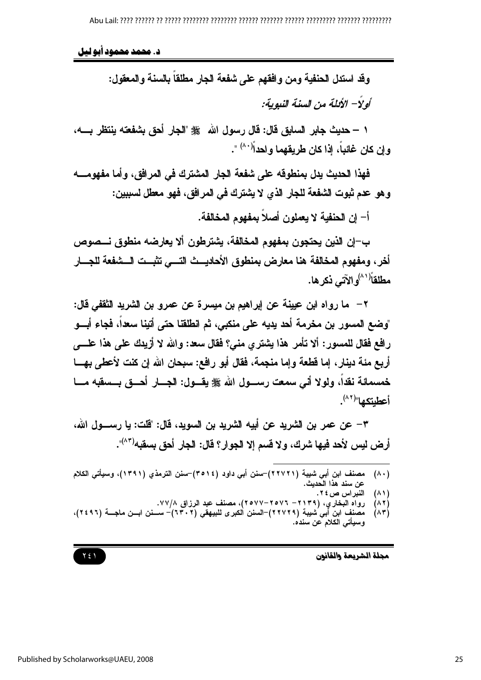د. محمد محمود آبو لیل

وقد استدل الحنفية ومن وافقهم على شفعة الجار مطلقاً بالسنة والمعقول: أو لاً – الأنلة من السنة النبوبة:

١ – حديث جابر السابق قال: قال رسول الله ﷺ "الجار أحق بشفعته ينتظر بـــــــه، وإن كان غائباً، إذا كان طريقهما واحداً<sup>(٨٠)</sup> ".

فهذا الحديث يدل بمنطوقه على شفعة الجار المشترك في المرافق، وأما مفهومـــــه و هو عدم ثبوت الشفعة للجار الذي لا يشترك في المرافق، فهو معطل لسببين:

أ– إن الحنفية لا يعملون أصلاً بمفهوم المخالفة.

ب–إن الذين يحتجون بمفهوم المخالفة، يشترطون ألا يعارضه منطوق نـــصوص أخر ، ومفهوم المخالفة هنا معارض بمنطوق الأحاديــث التـــي تثبــت الـــشفعة للجـــار مطلقاً<sup>(۸۱)</sup>و الآتي ذکر ها.

٢ – ما رواه ابن عيينة عن إبراهيم بن ميسرة عن عمرو بن الشريد الثقفي قال: "وضع المسور بن مخرمة أحد يديه على منكبي، ثم انطلقنا حتى أتينا سعداً، فجاء أبسو رافع فقال للمسور: ألا تأمر هذا يشتري مني؟ فقال سعد: والله لا أزيدك على هذا علــــي أربع مئة دينار ، إما فطعة وإما منجمة، فقال أبو رافع: سبحان الله إن كنت لأعطى بهـــا خمسمائة نقداً، ولولا أنِّي سمعت رســـول الله ﷺ يقـــول: الجـــار أحـــق بـــسقبه مــــا أعطبتكها"(٨٢).

٣– عن عمر بن الشريد عن أبيه الشريد بن السويد، قال: "قلت: يا رســــول الله، أرض ليس لأحد فيها شرك، ولا قسم إلا الجوار؟ قال: الجار أحق بسقبه<sup>(٨٣)</sup>".

مصنف ابن أبي شيبة (٢٢٧٢١)—سنن أبي داود (٣٥١٤)—سنن الترمذي (١٣٩١)، وسيأتي الكلام  $(\wedge \cdot)$ عن سند هذا الـّحديث.

النبراس ص ٢٤.  $(\wedge)$ 

- رواه البخاري، (٢١٣٩– ٢٥٧٦–٢٥٧٧)، مصنف عبد الرزاق ٧٧/٨.  $(\wedge \vee)$
- مصنف ابن أبي شيبة (٢٢٧٢٩)–السنن الكبرى للبيهقي (٦٣٠٢)– ســـنن ابــن ماجـــة (٢٤٩٦)،  $(\wedge \mathbf{r})$ وسيأتي الكلام عن سنده.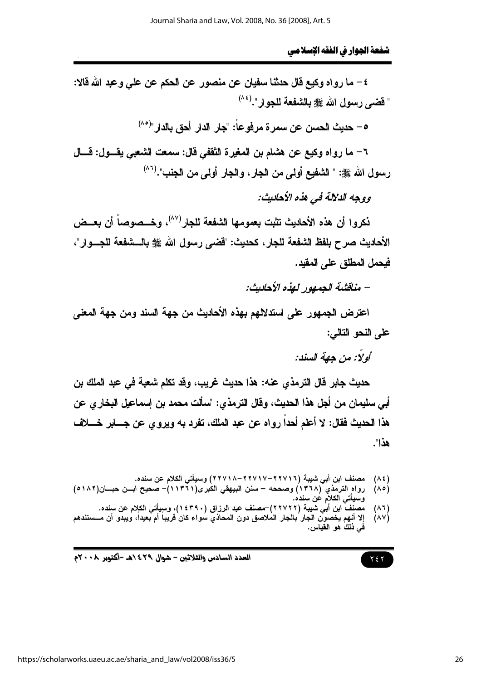٤ – ما رواه وكيع قال حدثنا سفيان عن منصور عن الحكم عن على وعبد الله قالا: " فضي رسول الله ﷺ بِالشَّفعة للجوار".(\*^)

0 – حديث الحسن عن سمر ة مرفوعاً: "جار الدار أحق بالدار "<sup>(٨٥)</sup>

٦– ما رواه وكيع عن هشام بن المغيرة الثقفي قال: سمعت الشعبي يقـــول: قـــال رسول الله صلى: " الشفيع أولى من الجار ، والجار أولى من الجنب".(<sup>٨٦)</sup>

ووجه الدلالة في هذه الأحاديث:

نكروا أن هذه الأحاديث تثبت بعمومها الشفعة للجار<sup>(٨٧)</sup>، وخـــصوصاً أن بعــض الأحاديث صرح بلفظ الشفعة للجار، كحديث: "قضى رسول الله ﷺ بالـــشفعة للجـــوار"، فبحمل المطلق على المقبد.

– مناقشة الجمهور لهذه الأحاديث:

اعترض الجمهور على استدلالهم بهذه الأحاديث من جهة السند ومن جهة المعنى علم النحو التالي:

أولًا: من جهة السند:

حديث جابر قال الترمذي عنه: هذا حديث غريب، وقد تكلم شعبة في عبد الملك بن أبي سليمان من أجل هذا الحديث، وفَّال الترمذي: "سألت محمد بن إسماعيل البخار ي عن هذا الحديث فقال: لا أعلم أحدا رواه عن عبد الملك، تفرد به ويروى عن جسابر خسلاف هذا".

 $(\wedge \epsilon)$ 

- مصنف ابن أبي شيبة (٢٢٧١٦–٢٢٧١٧–٢٢٧١٨) وسيأتي الكلام عن سنده.<br>رواه الترمذي (١٣٦٨) وصححه سنن البيهقي الكبرى(٦١٣٦١)– صحيح ابــن حبـــان(٥١٨٢)  $(\wedge \circ)$ وسيأت*ي* الكلام عن سنده.
- منْفَ ّابن أبي شَيبة (٢٢٧٢٢)–مصنف عبد الرزاق (٢٤٣٩٠)، وسبِأتي الكلام عن سنده.  $(\wedge \vee)$ إلا أنهم يُخْصَون الجار ُبالجار المُلاصق دون المحاذي سُواء كان فَرِيباً أم بِعيداً، ويبدّو أن مـــستندهم  $(\wedge \vee)$ في ذلك هو القياس.

 $Y \xi Y$ 

العدد السادس والثلاثين – شوال ٢٩٤/هـ -أكتوبر ٢٠٠٨م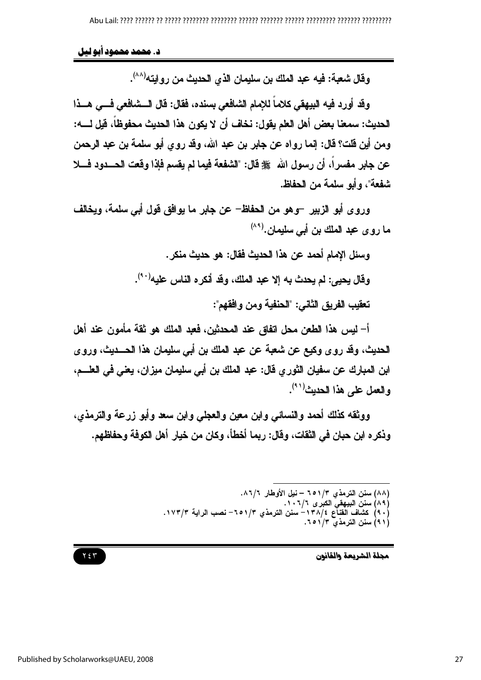د. محمد محمود أبو ليل

وفَّال شعبة: فيه عبد الملك بن سليمان الذي الحديث من روايته(^^).

وقد أورد فيه البيهقي كلاماً للإمام الشافعي بسنده، فقال: قال السشافعي فسي هسذا الحديث: سمعنا يعض أهل العلم يقول: نخاف أن لا يكون هذا الحديث محفوظاً، قبل لــــه: ومن أين قلت؟ قال: إنما رواه عن جابر بن عبد الله، وقد روى أبو سلمة بن عبد الرحمن عن جابر مفسرا، أن رسول الله ﷺ قال: "الشفعة فيما لم يقسم فإذا وقعت الحسدود فسلا شفعة"، و أبو سلمة من الحفاظ.

وروى أبو الزبير –وهو من الحفاظ– عن جابر ما يوافق قول أبي سلمة، ويخالف ما روى عبد الملك بن أبي سليمان.<sup>(٨٩)</sup>

> وسئل الإمام أحمد عن هذا الحديث فقال: هو حديث منكر . وفَّال يحيى: لم يحدث به إلا عبد الملك، وفد أنكره الناس عليه(٩٠). تعقيب الفريق الثاني: "الحنفية ومن وافقهم":

أ– ليس هذا الطعن محل اتفاق عند المحدثين، فعبد الملك هو ثقة مأمون عند أهل الحديث، وقد روى وكيع عن شعبة عن عبد الملك بن أبي سليمان هذا الحـــديث، وروى ابن المبارك عن سفيان الثوري فال: عبد الملك بن أبي سليمان ميزان، يعني في العلـــم، والعمل على هذا الحديث (٩١).

ووثقه كذلك أحمد والنسائي وابن معين والعجلى وابن سعد وأبو زرعة والترمذي، وذكر ه ابن حبان في الثقات، وقال: ريما أخطأ، وكان من خيار أهل الكوفة وحفاظهم.

> (٨٨) سنن الترمذي ٦٥١/٣ – نيل الأوطار ٨٦/٦.<br>(٨٩) سنن البيهقي الكبرى ٦/٦،٦٪.<br>(٩٠) كشاف القناع ٣٨/٤– سنن الترمذي ٦/١٥٢– نصب الراية ١٧٣/٣. (٩١) سنن الترمذي ١/٢٥٦.

> > محلة الشريعة والقانون

### $Y \xi Y$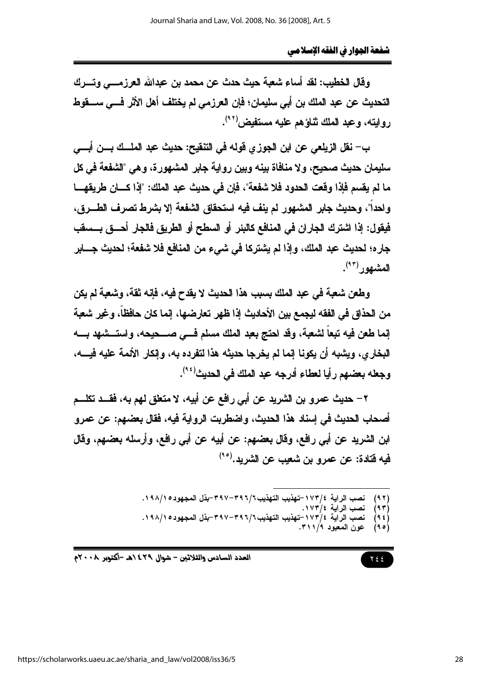وفَالِ الخطيبِ: لقد أساءِ شعبة حيث حدث عن محمد بن عبدالله العرزمـــي وتـــرك التحديث عن عبد الملك بن أبي سليمان؛ فإن العرزمي لم يختلف أهل الأثر فـــي ســــقوط روايته، وعبد الملك ثناؤهم عليه مستفيض'<sup>٩٢</sup>'.

ب– نقل الزيلعي عن ابن الجوزي فوله في التنفيح: حديث عبد الملــك بـــن أبـــي سليمان حديث صحيح، ولا منافاة بينه وبين رواية جابر المشهورة، وهي "الشفعة في كل ما لم يقسم فإذا وفَعت الحدود فلا شفعة"، فإن في حديث عبد الملك: "إذا كـــان طريقهـــا واحداً"، وحديث جابر المشهور لم ينف فيه استحقاق الشفعة إلا بشرط تصرف الطـــرق، فيقول: إذا اشترك الجاران في المنافع كالبئر أو السطح أو الطريق فالجار أحـــق بـــسفَب جاره؛ لحديث عبد الملك، وإذا لم يشتركا في شيء من المنافع فلا شفعة؛ لحديث جــــابر المشهور<sup>(۴)</sup>.

وطعن شعبة في عبد الملك بسبب هذا الحديث لا يقدح فيه، فإنه ثقة، وشعبة لم يكن من الحذاق في الفقه ليجمع بين الأحاديث إذا ظهر تعارضها، إنما كان حافظاً، وغير شعبة إنما طعن فيه تبعاً لشعبة، وقد احتج بعبد الملك مسلم فسي صــــحيحه، واستـــشهد بـــــه البخار ى، ويشبه أن يكونا إنما لم يخرجا حديثه هذا لتفرده به، وإنكار الأئمة عليه فيــــه، وجعله بعضهم رأيا لعطاء أدرجه عبد الملك في الحديث<sup>(٩٤)</sup>.

٢ – حديث عمرو بن الشريد عن أبي رافع عن أبيه، لا متعلق لهم به، فقــد تكلـــم أصحاب الحديث في إسناد هذا الحديث، وإضطريت الرواية فيه، فقال بعضهم: عن عمر و ابن الشريد عن أبي رافع، وقال بعضهم: عن أبيه عن أبي رافع، وأرسله بعضهم، وقال فيه فتادة: عن عمرو بن شعيب عن الشريد.<sup>(٩٥)</sup>

> نصب الراية ١٧٣/٤-تهذيب التهذيب ٣٩٦/٦-٣٩٧-بذل المجهود ١٩٨/١٥.  $(9, 7)$

- نصب الراية ١٧٣/٤.  $(95)$
- نصب الراية ١٧٣/٤-تهذيب التهذيب ٣٩٦/٦-٣٩٧-بذل المجهود ١٩٨/١٥.  $(95)$ 
	- عون المعبود ٢١١/٩.  $(90)$

 $Y \xi \xi$ 

العدد السادس والثلاثين – شوال ٢٩٤/هـ -أكتوبر ٢٠٠٨م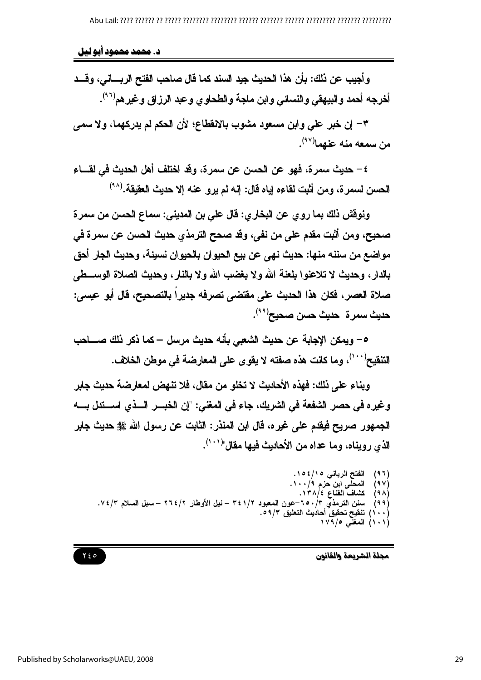د. محمد محمود آبو لیل

وأجيب عن ذلك: بأن هذا الحديث جيد السند كما فال صاحب الفتح الريساني، وقَسد أخرجه أحمد والبيهقي والنسائي وابن ماجة والطحاوي وعبد الرزاق وغيرهم<sup>(٩٦)</sup>.

٣– إن خبر على وابن مسعود مشوب بالانقطاع؛ لأن الحكم لم يدركهما، ولا سمي من سمعه منه عنهما<sup>(۴۷</sup>).

٤ – حديث سمرة، فهو عن الحسن عن سمرة، وقد اختلف أهل الحديث في لقـــاء الحسن لسمرة، ومن أثبت لقاءه إياه قال: إنه لم يرو عنه إلا حديث العقيقة.(^^)

ونوفش ذلك بما روي عن البخاري: قال علي بن المديني: سماع الحسن من سمرة صحيح، ومن أثبت مقدم على من نفي، وقد صحح الترمذي حديث الحسن عن سمرة في مواضع من سننه منها: حديث نهي عن بيع الحيوان بالحيوان نسبئة، وحديث الجار أحق بالدار، وحديث لا تلاعنوا بلعنة الله ولا بغضب الله ولا بالنار، وحديث الصلاة الوســطي صلاة العصر، فكان هذا الحديث على مقتضى تصرفه جديرا بالتصحيح، قال أبو عيسى: حديث سمرة حديث حسن صحيح<sup>(٩٩)</sup>.

٥– ويمكن الاجابة عن حدبث الشعبي بأنه حدبث مرسل – كما ذكر ذلك صــــاحب التنفيح'``')، وما كانت هذه صفته لا يقوى على المعارضة في موطن الخلاف.

ويناء على ذلك: فهذه الأحاديث لا تخلو من مقال، فلا تنهض لمعارضة حديث جابر وغيره في حصر الشفعة في الشريك، جاء في المغني: "إن الخبـــر الـــذي اســـتدل بــــه الجمهور صريح فيقدم على غيره، قال ابن المنذر : الثابت عن رسول الله ﷺ حديث جابر الذي رويناه، وما عداه من الأحاديث فيها مفال"<sup>(١٠١)</sup>.



الفتح الرباني ١٥٤/١٥٤.<br>المحلى ابن حزم ٩/١٠٠.<br>كشاف الفناع ٤/١٣٨.  $(97)$  $(9V)$  $(9 \wedge)$ سنن الترمذّيّ ٢٥٠/٣-عون المعبود ٣٤١/٢ – نيل الأوطار ٢٦٤/٢ – سبل السلام ٧٤/٣.  $(99)$ (۱۰۰) تنقيح تحقيق أحاديث النطيق ۶۹/۳.<br>(۱۰۱) المغنى ۱۷۹/۰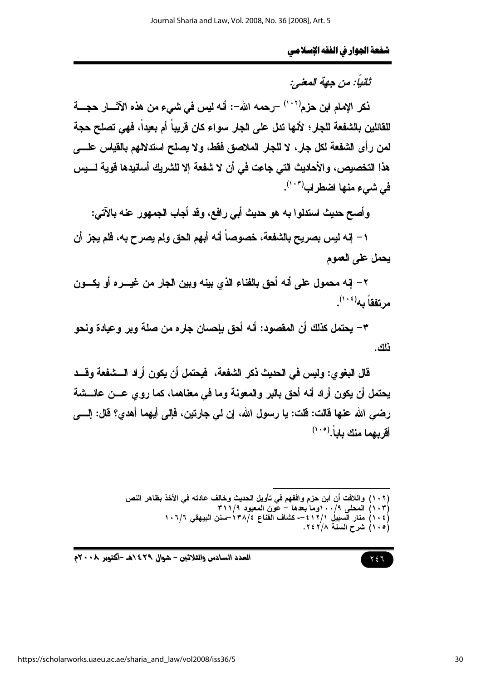# ثانياً: من حهة المعنى:

نكر الإمام ابن حزم<sup>(١٠٢)</sup> –رحمه الله–: أنه ليس في شيء من هذه الآثــــار حجــــة للقائلين بالشفعة للجار؛ لأنها تدل على الجار سواء كان قريباً أم بعيداً، فهي تصلح حجة لمن رأى الشفعة لكل جار، لا للجار الملاصق ففط، ولا يصلح استدلالهم بالقياس علـــــــــ ، هذا التخصيص، والأحاديث التي جاعت في أن لا شفعة إلا للشريك أسانيدها فوية لــــيس فى شىء منها اضطراب( ... ).

وأصح حديث استدلوا به هو حديث أبي رافع، وقد أجاب الجمهور عنه بالآتي:

١ – إنه ليس بصريح بالشفعة، خصوصاً أنه أبهم الحق ولم يصرح به، فلم يجز أن يحمل على العموم

٢ – إنه محمول على أنه أحق بالفناء الذي بينه وبين الجار من غيــــره أو يكــــون مرتفقاً به $^{(\,\cdot\,,\,\cdot\,)}$ .

٣– يحتمل كذلك أن المقصود: أنه أحق بإحسان جاره من صلة وير وعيادة ونحو فلك.

قال البغو ي: وليس في الحديث ذكر الشفعة، فيحتمل أن يكون أراد الـــشفعة وقـــد يحتمل أن يكون أراد أنه أحق بالبر والمعونة وما في معناهما، كما روي عـــن عائــــشة رضي الله عنها فالت: فلت: يا رسول الله، إن لي جارتين، فإلي أيهما أهدي؟ فال: إلـــي أقريهما منك ياباً. (١٠٥)

> (١٠٢) واللافت أن ابن حزم وافقهم في تأويل الحديث وخالف عادته في الأخذ بظاهر النص (١٠٣) العحلمي ٢/٠٠وما بعدها – عُون العَعبود ٣١١/٩<br>(١٠٤) منار السبيلي ٢١٢/١- عشاف القناع ٣٨/٤-سنن البيهقي ١٠٦/٦ (١٠٥) شرح السنة ٢٤٢/٨.

$$
\mathbf{Y} \in \mathbb{R}
$$

العدد السادس والثلاثين - شوال ٢٩٤/هـ -أكتوبر ٢٠٠٨م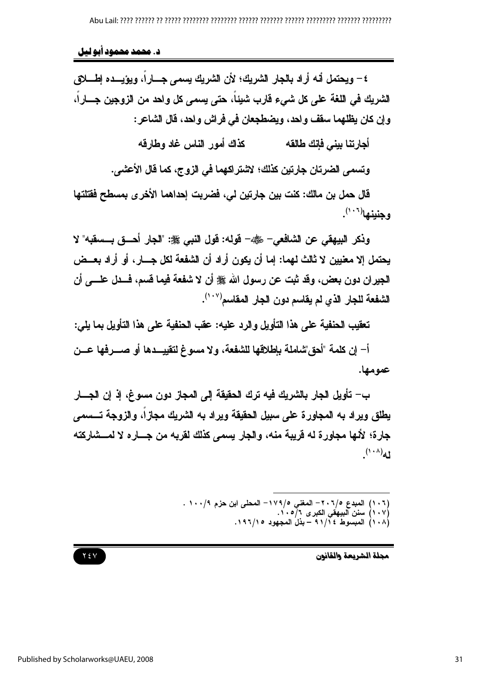د. محمد محمود آبو لیل

٤ – ويحتمل أنه أر اد بالجار الشريك؛ لأن الشريك بسمي جـــار اً، ويؤيـــده اطــــلاق الشريك في اللغة على كل شيء قارب شيئاً، حتى يسمى كل واحد من الزوجين جـــاراً، و إن كان يظلهما سقف و احد، ويضطجعان في فر اش و احد، قال الشاعر :

> كذاك أمور الناس غاد وطارقه أجارتنا بيني فإنك طالقه

وتسمى الضرتان جارتين كذلك؛ لاشتراكهما في الزوج، كما فال الأعشى.

قال حمل بن مالك: كنت بين جارتين لي، فضربت إحداهما الأخرى بمسطح ففتلتها وجنينها<sup>(١٠٠</sup>).

وذكر البيهقي عن الشافعي– رضي - فوله: فول النبي ﷺ: "الجار أحسق بسعقبه" لا يحتمل إلا معنيين لا ثالث لهما: إما أن يكون أراد أن الشفعة لكل جـــار ، أو أراد بعــض الجير إن دون بعض، وقد ثبت عن رسول الله ﷺ أن لا شفعة فيما قسم، فسدل علــــى أن الشفعة للجار الذي لم يقاسم دون الجار المقاسم<sup>(١٠٧)</sup>.

تعقيب الحنفية على هذا التأويل والرد عليه: عقب الحنفية على هذا التأويل بما يلي:

أ– إن كلمة "أحق"شاملة باطلاقها للشفعة، و لا مسوغ لتقبيـــدها أو صــــر فها عـــن عمومها.

ب– تأويل الجار بالشريك فيه ترك الحقيقة إلى المجاز دون مسوغ، إذ إن الجسار يطلق ويراد به المجاورة على سبيل الحقيقة ويراد به الشريك مجازاً، والزوجة تـــسمى جارة؛ لأنها مجاورة له قريبة منه، والجار يسمى كذلك لقربه من جساره لا لمسشاركته  $(1 - A)$ d

(١٠٦) المبدع ٢٠٦/٥– المغني ١٧٩/٥– المحلى ابن حزم ٩/٠٠١ .<br>(١٠٧) سنن البيهقي الكبرى ٦/٥٠١.<br>(١٠٨) المبسوط ٩١/١٤ – بذل المجهود ١٩٦/١٥.

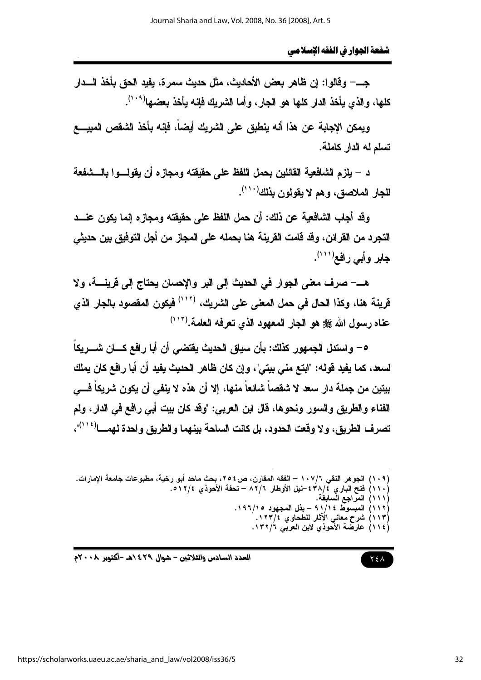جـــــ وفالوا: إن ظاهر بعض الأحاديث، مثل حديث سمرة، يفيد الحق بأخذ الـــدار كلها، والذي بأخذ الدار كلها هو الجار ، وأما الشريك فانه بأخذ يعضها(\* ` ').

ويمكن الإجابة عن هذا أنه ينطبق على الشريك أيضاً، فإنه بأخذ الشقص المبيــــع تسلم له الدار كاملة.

د – يلزم الشافعية القائلين بحمل اللفظ على حقيقته ومجازه أن يقولـــوا بالـــشفعة للجار الملاصق، وهم لا يقولون بذلك''''.

وقِد أجاب الشافعية عن ذلك: أن حمل اللفظ على حقيقته ومجاز ِه إنما يكون عنـــد التجرد من القرائن، وقد قامت القرينة هنا بحمله على المجاز من أجل التوفيق بين حديثي جابر وأبي رافع(١١١).

هــــــــــ صرف معنى الجوار في الحديث إلى البر والإحسان يحتاج إلى فرينـــــة، ولا قرينة هنا، وكذا الحال في حمل المعنى على الشريك، <sup>(١٠٢)</sup> فيكون المقصود بالجار الذي عناه رسول الله على هو الجار المعهود الذي تعرفه العامة. (١٠٣)

٥– واستدل الجمهور كذلك: بأن سياق الحديث يقتضي أن أبا رافع كـــان شـــريكاً لسعد، كما يفيد قوله: "ابتع مني بيتي"، وإن كان ظاهر الحديث يفيد أن أبا رافع كان يملك بيتين من جملة دار سعد لا شقصاً شائعاً منها، إلا أن هذه لا ينفي أن يكون شريكاً فـــي الفناء والطريق والسور ونحوها، فال ابن العربي: "وفد كان بيت أبي رافع في الدار، ولم تصر ف الطريق، و لا وقعت الحدود، بل كانت السلحة بينهما و الطريق و احدة لهمـــا<sup>(١١٤</sup>)"،

 $Y \xi \Lambda$ 

العدد السادس والثلاثين – شوال ٢٩٤/هـ -أكتوبر ٢٠٠٨م

<sup>(</sup>١٠٩) الجوهر النقي ١٠٧/٦ – الفقه المقارن، ص٢٥٤، بحث ماحد أبو رخية، مطبوعات جامعة الإمارات. (١١٠) فَتَحْ البَارِي ٤٣٨/٢ £-نيل الأوطار ٨٢/٦ – تحفة الأحوذي ١٢/٤. (١١١) المراجع السابقة. (١١٢) المبسوط ١١/١٤ - بذل المجهود ١٩٦/١٩. )<br>(١١٣) شرح معاني الآثار للطحاوي ١٢٣/٤.<br>(١١٤) عارضة الأحوذي لابن العربي ١٣٢/٦.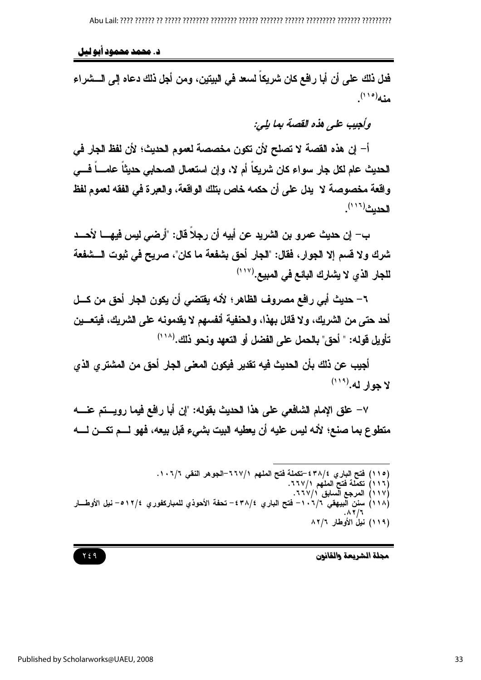د. محمد محمود آبو لیل

فدل ذلك على أن أبا رافع كان شريكاً لسعد في البيتين، ومن أجل ذلك دعاه إلى الـــشراء  $(110)$ 

وكعيب على هذه القصة بها بلي:

أ– إن هذه القصة لا تصلح لأن تكون مخصصة لعموم الحديث؛ لأن لفظ الجار في الحديث عام لكل جار سواء كان شريكاً أم لا، وإن استعمال الصحابي حديثاً عامــــاً فـــي واقعة مخصوصة لا يدل على أن حكمه خاص بتلك الواقعة، والعبرة في الفقه لعموم لفظ الحديث (١١٦)

ب– إن حديث عمرو بن الشريد عن أبيه أن رجلًا قال: "أرضى ليس فيهــــا لأحـــد شرك ولا قسم إلا الجوار، فقال: "الجار أحق بشفعة ما كان"، صريح في ثبوت الـــشفعة للجار الذي لا يشارك البائع في المبيع.(١١٧)

٦– حديث أبي رافع مصروف الظاهر؛ لأنه يقتضي أن يكون الجار أحق من كسل أحد حتى من الشريك، ولا قائل بهذا، والحنفية أنفسهم لا يقدمونه على الشريك، فيتعـــين تأويل قوله: " أحق" بالحمل على الفضل أو التعهد ونحو ذلك.(^``)

أجيب عن ذلك بأن الحديث فيه تقدير فيكون المعنى الجار أحق من المشترى الذي لا جوار له.(١١٩)

٧– علق الإمام الشافعي على هذا الحديث بقوله: "إن أبا رافع فيما رويستم عنسه متطوع بما صنع؛ لأنه ليس عليه أن يعطيه البيت بشيء قبل بيعه، فهو لـــم تكـــن لــــه

(١١٥) فتح الباري ٤٣٨/٤-تكملة فتح الملهم ٧/٧٦٦-الجوهر النقي ٦/٦٠٧.<br>(١١٦) تكملة فتح الملهم ٢٦٧/١.<br>(١١٧) المرجع السابق ٢٦٧/١.

- -
- (١١٨) سنن البيهقي ٦/٦، ٦– فتح الباري ٣٨/٤– تحفة الأحوذي للمباركفوري ٢/٢/٤– نيل الأوطـــار
	- (١١٩) نيلُ الأوطارِ ٨٢/٦

#### مجلة الشريعة والقانون

### 729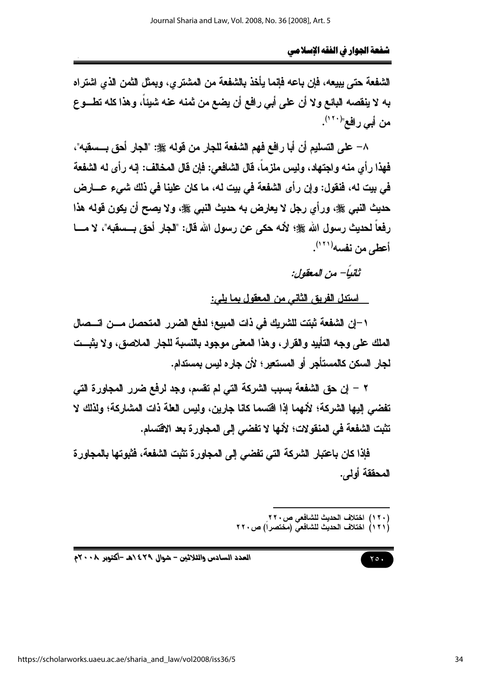الشفعة حتى بييعه، فإن باعه فإنما يأخذ بالشفعة من المشترى، ويمثل الثمن الذي اشتراه به لا ينقصه البائع ولا أن على أبي رافع أن يضع من ثمنه عنه شيئاً، وهذا كله تطــوع من أبي رافع"<sup>(١٢٠)</sup>.

٨– على التسليم أن أبا رافع فهم الشفعة للجار من قوله ﷺ: "الجار أحق بــسفبه"، فهذا رأى منه واجتهاد، وليس ملزماً، قال الشافعي: فإن قال المخالف: إنه رأى له الشفعة في بيت له، فنقول: وإن رأى الشفعة في بيت له، ما كان علينا في ذلك شيء عـــارض حديث النبي ﷺ، ورأى رجل لا يعارض به حديث النبي ﷺ، ولا يصح أن يكون قوله هذا رفعاً لحديث رسول الله ﷺ؛ لأنه حكى عن رسول الله قال: "الجار أحق بـــسقبه"، لا مــــا أعطى من نفسه(١٢١).

ثانياً– من المعقول:

استدل الفريق الثاني من المعقول بما بلي:

١–إن الشفعة ثبتت للشريك في ذات المبيع؛ لدفع الضرر المتحصل مـــن اتـــصال الملك علم وجه التأبيد والقرار، وهذا المعنى موجود بالنسبة للجار الملاصق، ولا يثبــت لجار السكن كالمستأجر أو المستعير؛ لأن جاره ليس بمستدام.

٢ – إن حق الشفعة بسبب الشركة التي لم تقسم، وجد لرفع ضرر المجاورة التي تفضى إليها الشركة؛ لأنهما إذا اقتسما كانا جارين، وليس العلة ذات المشاركة؛ ولذلك لا تثبت الشفعة في المنقولات؛ لأنها لا تفضى إلى المجاورة بعد الاقتسام.

فإذا كان باعتبار الشركة التي تفضي إلى المجاورة تثبت الشفعة، فثبوتها بالمجاورة المحققة أولى.

- (١٢٠) اختلاف الحديث للشافعي ص٢٢٠<br>(١٢١) اختلاف الحديث للشافعي (مختصراً) ص٢٢٠
- 

$$
\bullet \bullet \bullet
$$

العدد السادس والثلاثين - شوال ٤٢٩ هـ -أكتوبر ٢٠٠٨م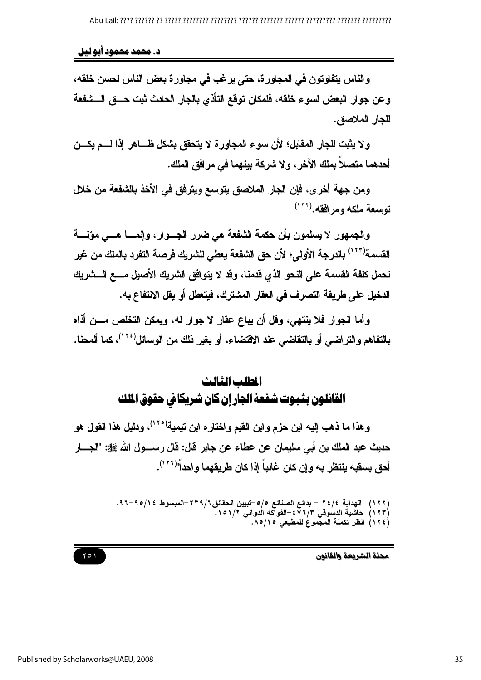د. محمد محمود آبو ليل

والناس يتفاوتون في المجاورة، حتى يرغب في مجاورة بعض الناس لحسن خلقه، وعن جوار البعض لسوع خلقه، فلمكان توقع التأذى بالجار الحادث ثبت حـــق الـــشفعة للجار الملاصق.

ولا يثبت للجار المقابل؛ لأن سوع المجاورة لا يتحقق بشكل ظـــاهر إذا لــــم يكــــن أحدهما متصلا بملك الآخر ، ولا شركة بينهما في مرافق الملك.

ومن جهة أخرى، فإن الجار الملاصق يتوسع ويترفق في الأخذ بالشفعة من خلال توسعة ملكه ومرافقه. (١٢٢)

والجمهور لا يسلمون بأن حكمة الشفعة هي ضرر الجسوار، وإنمسا هسي مؤنسة القسمة'(١٢٣) بالدرجة الأولى؛ لأن حق الشفعة يعطي للشريك فرصة التفرد بالملك من غير تحمل كلفة القسمة على النحو الذي قدمنا، وقد لا يتوافق الشريك الأصيل مسع السشريك الدخيل على طريقة التصرف في العقار المشترك، فيتعطل أو يقل الانتفاع به.

وأما الجوار فلا ينتهي، وقل أن يباع عقار لا جوار له، ويمكن التخلص مـــن أذاه بالتفاهم والتراضي أو بالتقاضى عند الاقتضاء، أو بغير ذلك من الوسائل<sup>(٢٢)</sup>، كما ألمحنا.

# المطلب الثالث القائلون بثبوت شفعة الجارإن كان شريكا في حقوق الملك

وهذا ما ذهب إليه ابن حزم وابن القيم واختاره ابن تيمية<sup>(٢٠)</sup>، ودليل هذا القول هو حديث عبد الملك بن أبي سليمان عن عطاء عن جابر قال: قال رســــول الله ﷺ: "الجــــار أحق بِسقبِه ينتظر به وإن كان غائباً إذا كان طريقهما واحداً"<sup>(١٢٦)</sup>.

(١٢٢ ) الهداية ٤/٤٢ – بدائع الصنائع ٥/٥–تبيين الحقائق٢٣٩/٦-المبسوط ٥/١٥٤–٩٦.<br>(١٢٣) حاشية الدسوقي ٧/٢٧٤–الفواكه الدواني ١٥١/٢.

- - (١٢٤) انظر تكملة المجموع للمطيعى ١٥/١٥.

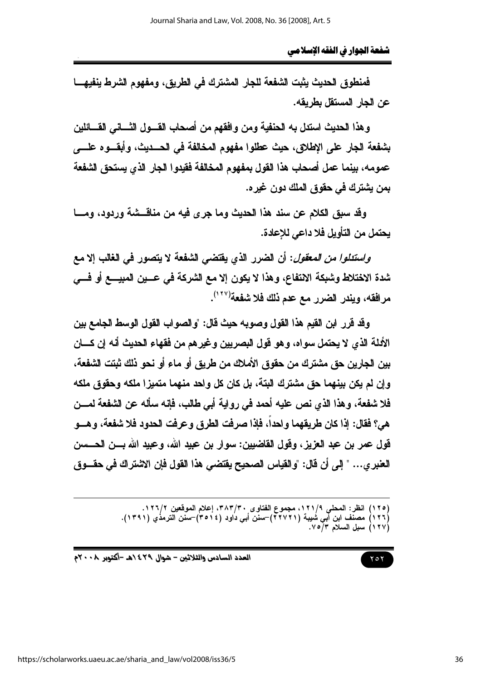فمنطوق الحديث يثبت الشفعة للجار المشترك في الطريق، ومفهوم الشرط ينفيهـــا عن الحار المستقل بطريقه.

وهذا الحديث استدل به الحنفية ومن وافقهم من أصحاب القـــول الثــــاني القــــائلين بشفعة الجار على الإطلاق، حيث عطلوا مفهوم المخالفة في الحسديث، وأبقسوه علسي عمومه، بينما عمل أصحاب هذا القول بمفهوم المخالفة فقيدوا الجار الذي يستحق الشفعة بمن يشترك في حقوق الملك دون غيره.

وقد سبق الكلام عن سند هذا الحديث وما جرى فيه من مناقسشة وردود، ومسا يحتمل من التأويل فلا داعي للإعادة.

*واستدلوا من المعقول*: أن الضرر الذي يقتضي الشفعة لا يتصور في الغالب إلا مع شدة الاختلاط وشبكة الانتفاع، وهذا لا يكون إلا مع الشركة في عـــين المبيــــع أو فــــي مر افقه، ويندر الضرر مع عدم ذلك فلا شفعة(١٢٧).

وقد قرر ابن القيم هذا القول وصوبه حيث قال: "والصواب القول الوسط الجامع بين الأدلة الذي لا يحتمل سواه، وهو قول البصريين وغيرهم من فقهاء الحديث أنه إن كسان بين الجارين حق مشترك من حقوق الأملاك من طريق أو ماء أو نحو ذلك ثبتت الشفعة، و إن لم يكن بينهما حق مشترك البتة، بل كان كل واحد منهما متميز! ملكه وحقوق ملكه فلا شفعة، وهذا الذي نص عليه أحمد في رواية أبي طالب، فإنه سأله عن الشفعة لمسن هي؟ فقال: إذا كان طريقهما وإحداً، فإذا صرفت الطرق وعرفت الحدود فلا شفعة، وهـــو قول عمر بن عبد العزيز، وقول القاضيين: سوار بن عبيد الله، وعبيد الله بـــن الحـــــسن العنبر ي... " إلى أن قال: "والقياس الصحيح يقتضي هذا القول فإن الاشتراك في حقـــوق

العدد السادس والثلاثين - شوال ٢٩٤/هـ -أكتوبر ٢٠٠٨م

<sup>(</sup>١٢٥) انظر: المحلي ١٢١/٩، مجموع الفتاوى ٣٨٣/٣٠، إعلام الموقعين ١٢٦/٢. (١٢٦) مصنّف ابن أبي شُيبة (٢٢٧٢١)–سنّن أبي دُاود (٣٥١٤)–سنّن الترمذُي (١٣٩١).<br>(١٢٧) سبل السلام ٧/٥/٣.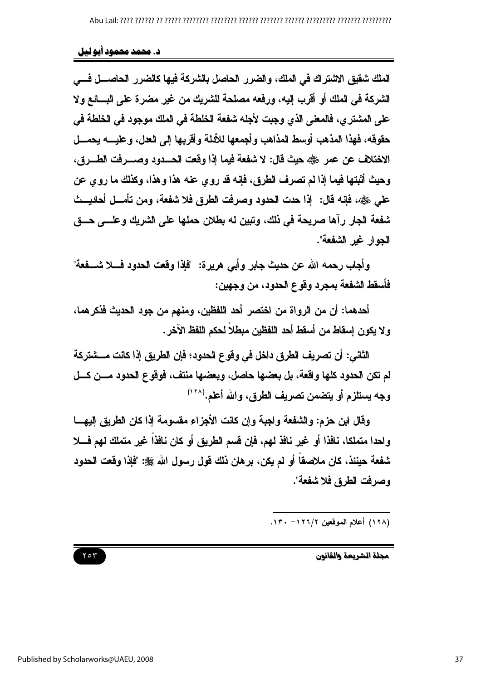د. محمد محمود آبو لیل

الملك شقيق الاشتراك في الملك، والضرر الحاصل بالشركة فيها كالضرر الحاصـــل فـــي الشركة في الملك أو أقرب إليه، ورفعه مصلحة للشريك من غير مضرة على البسائع ولا على المشتر ي، فالمعلى الذي وجبت لأجله شفعة الخلطة في الملك موجود في الخلطة في حقوقه، فهذا المذهب أوسط المذاهب وأجمعها للأدلة وأقربها إلى العدل، وعليــــه يحمــــل الاختلاف عن عمر رضي الله عنه قال: لا شفعة فيما إذا وقعت الحسدود وصب فت الطبرق، وحيث أثبتها فيما إذا لم تصرف الطرق، فإنه قد روى عنه هذا وهذا، وكذلك ما روى عن على رضي الله على: ﴿ إِذَا حدت الحدود وصرفت الطرق فلا شفعة، ومن تأمـــل أحاديـــث شفعة الجار رآها صريحة في ذلك، وتبين له بطلان حملها على الشريك وعلـــي حـــق الجوار غير الشفعة".

وأجاب رحمه الله عن حديث جابر وأبي هريرة: "فإذا وفعت الحدود فسلا شــــفعة" فأسقط الشفعة بمجرد وقوع الحدود، من وجهين:

أحدهما: أن من الرواة من اختصر أحد اللفظين، ومنهم من جود الحديث فذكرهما، ولا يكون إسقاط من أسقط أحد اللفظين مبطلاً لحكم اللفظ الآخر .

الثاني: أن تصريف الطرق داخل في وقوع الحدود؛ فإن الطريق إذا كانت مــــشتركة لم تكن الحدود كلها واقعة، بل بعضها حاصل، وبعضها منتف، فوقوع الحدود مـــن كـــل وجه يستلزم أو يتضمن تصريف الطرق، والله أعلم.(١٢٨)

وفَّال ابن حزم: والشُّفعة واجبة وإن كانت الأجزاء مقسومة إذا كان الطريق إليهـــا واحدا متملكا، نافذا أو غير نافذ لهم، فإن قسم الطريق أو كان نافذاً غير متملك لهم فـــلا شفعة حينئذ، كان ملاصقاً أو لم يكن، برهان ذلك قول رسول الله ﷺ: "فإذا وقعت الحدود وصرفت الطرق فلا شفعة".

(١٢٨) أعلام الموقعين ١٢٦/٢- ١٣٠.

۲٥٣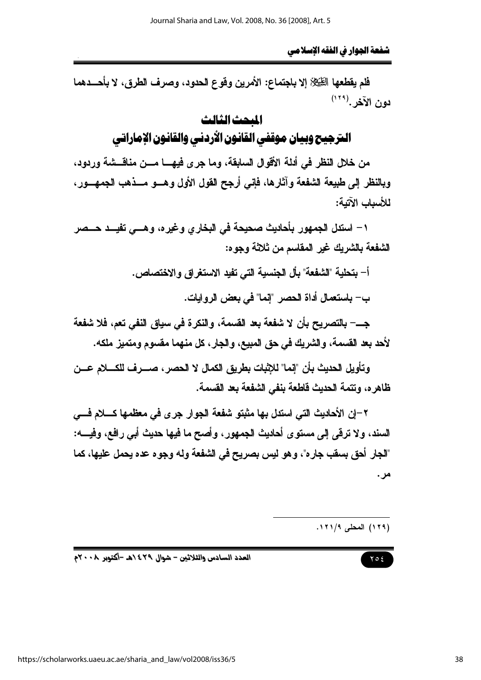فلم يقطعها الطِّيِّلاِّ إلا باجتماع: الأمرين وفوع الحدود، وصرف الطرق، لا بأحـــدهما دون الآخر .<sup>(٢٢٩)</sup>

## المحث الثالث

# المرجيح وبيان موقفي القانون الأردني والقانون الإماراتي

من خلال النظر في أدلة الأقوال السابقة، وما جرى فيهـــا مـــن مناقـــشة وردود، وبالنظر إلى طبيعة الشفعة وآثارها، فإنى أرجح القول الأول وهـــو مـــذهب الجمهـــور، للأسباب الآتية:

١ – استدل الجمهور بأحاديث صحيحة في البخاري وغيره، وهـــي تفيـــد حـــصر الشفعة بالشريك غير المقاسم من ثلاثة وجوه:

أ– بتحلية "الشفعة" بأل الجنسية التي تفيد الاستغراق والاختصاص.

ب— باستعمال أداة الحصر "إنما" في بعض الروايات.

جـــــ بالتصريح بأن لا شفعة بعد القسمة، والنكرة في سياق النفي تعم، فلا شفعة لأحد بعد القسمة، والشريك في حق المبيع، والجار، كل منهما مقسوم ومتميز ملكه.

و تأويل الحديث بأن "انما" للاثبات بطريق الكمال لا الحصر ، صب ف للكسلام عسن ظاهره، وتتمة الحديث قاطعة بنفي الشفعة بعد القسمة.

٢–ان الأحاديث التي استدل بها مثبتو شفعة الجوار جرى في معظمها كـــلام فـــي السند، ولا ترقي إلى مستوى أحاديث الجمهور، وأصح ما فيها حديث أبي رافع، وفيــــه: "الجار أحق بسقب جاره"، وهو ليس بصريح في الشفعة وله وجوه عده يحمل عليها، كما مر .

(١٢٩) المحلي ١٢١/٩.

## $Y \circ \xi$

العدد السادس والثلاثين - شوال ٤٢٩ ٥هـ -أكتوبر ٢٠٠٨م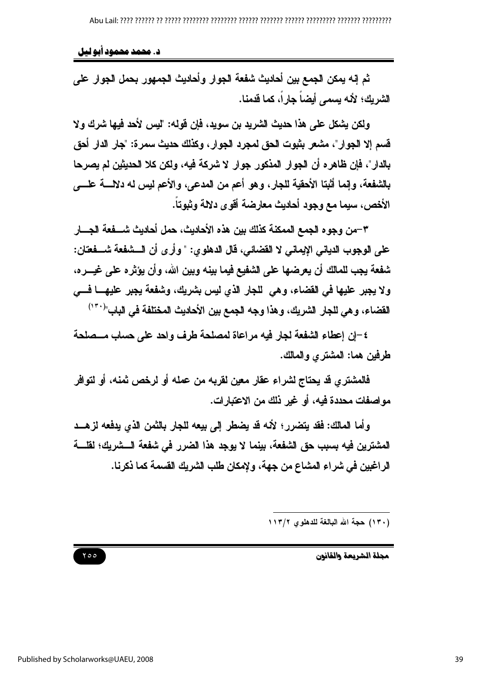د. محمد محمود آبو لیل

ثم إنه يمكن الجمع بين أحاديث شفعة الجوار وأحاديث الجمهور بحمل الجوار على الشر بك؛ لأنه بسمي أيضاً جارٍ اً، كما قدمنا.

ولكن بشكل على هذا حديث الشريد بن سويد، فإن قوله: "لبس لأحد فيها شرك و لا قسم إلا الجوار"، مشعر بثبوت الحق لمجرد الجوار، وكذلك حديث سمرة: "جار الدار أحق بالدار"، فإن ظاهره أن الجوار المذكور جوار لا شركة فيه، ولكن كلا الحديثين لم يصرحا بالشفعة، وإنما أثبتا الأحقية للجار، وهو أعم من المدعى، والأعم ليس له دلالة علــــى الأخص، سيما مع وجود أحاديث معارضة أقوى دلالة وثبوتاً.

٣–من وجوه الجمع الممكنة كذلك بين هذه الأحاديث، حمل أحاديث شــــفعة الجــــار على الوجوب الدياني الإيماني لا القضائي، قال الدهلوي: " وأرى أن الـــشفعة شـــفعتان: شفعة يجب للمالك أن يعرضها على الشفيع فيما بينه ويين الله، وأن يؤثر ه على غيـــر ه، ولا يجبر عليها في القضاء، وهي للجار الذي ليس بشريك، وشفعة يجبر عليهــــا فـــي القضاء، و هي للجار الشريك، و هذا وجه الجمع بين الأحاديث المختلفة في الباب"<sup>(٣٠)</sup>

٤-إن إعطاء الشفعة لجار فيه مراعاة لمصلحة طرف واحد على حساب مــصلحة طرفين هما: المشترى والمالك.

فالمشترى قد يحتاج لشراء عقار معين لقربه من عمله أو لرخص ثمنه، أو لتوافر مواصفات محددة فيه، أو غير ذلك من الاعتبارات.

وأما المالك: فقد يتضرر؛ لأنه قد يضطر إلى بيعه للجار بالثمن الذي يدفعه لزهــد المشترين فيه بسبب حق الشفعة، بينما لا يوجد هذا الضرر في شفعة الـــشريك؛ لقلـــة الراغبين في شراء المشاع من جهة، ولإمكان طلب الشريك القسمة كما ذكرنا.

(١٣٠) حجة الله البالغة للدهلوى ١١٣/٢

 $Y \circ \circ$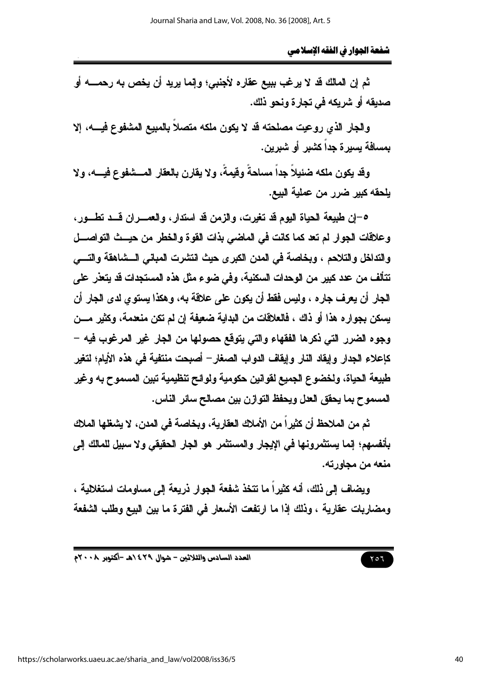ثم إن المالك قد لا يرغب ببيع عقاره لأجنبي؛ وإنما يريد أن يخص به رحمــــــه أو صديقه أو شريكه في تجار ة ونحو ذلك.

والجار الذي روعيت مصلحته قد لا يكون ملكه متصلا بالمبيع المشفوع فيسه، إلا بمسافة بسبر ة جداً كشبر ٍ أو شبر بن.

وقد بكون ملكه ضئيلاً جداً مسلحةً وقيمةً، ولا يقارن بالعقار المسشفوع فيسه، ولا يلحقه كبير ضرر من عملية البيع.

٥-إن طبيعة الحياة اليوم قد تغيرت، والزمن قد استدار، والعمــــران قـــد تطــــور، وعلاقات الجوار لم تعد كما كانت في الماضي بذات القوة والخطر من حيستْ التواصـــل والتداخل والتلاحم ، ويخاصة في المدن الكبر ي حيث انتشرت المباني السشاهقة والتسي تتألف من عدد كبير من الوحدات السكنية، وفي ضوع مثل هذه المستجدات قد يتعذر على الجار أن يعرف جاره ، وليس فقط أن يكون على علاقة به، وهكذا يستوى لدى الجار أن يسكن بجوار هذا أو ذلك ، فالعلاقات من البداية ضعيفة إن لم تكن منعدمة، وكثير مـــن وجوه الضرر التي ذكرها الفقهاء والتي يتوقع حصولها من الجار غير المرغوب فيه – كإعلاء الجدار وإيقاد النار وإيقاف الدواب الصغار – أصبحت منتفية في هذه الأيام؛ لتغير طبيعة الحياة، ولخضوع الجميع لقوانين حكومية ولوائح تنظيمية تبين المسموح به وغير المسموح بما يحقق العدل ويحفظ التوازن بين مصالح سائر الناس.

ثم من الملاحظ أن كثير اً من الأملاك العقار بـة، ويخاصة في المدن، لا يشغلها الملاك بأنفسهم؛ إنما يستثمرونها في الإيجار والمستثمر هو الجار الحقيقي ولا سبيل للمالك إلى منعه من محاورته.

ويضاف إلى ذلك، أنه كثيراً ما تتخذ شفعة الجوار ذريعة إلى مساومات استغلالية ، ومضاربات عقارية ، وذلك إذا ما ارتفعت الأسعار في الفترة ما بين البيع وطلب الشفعة

العدد السادس والثلاثين - شوال ٤٢٩ ٥هـ -أكتوبر ٢٠٠٨م

٢٥٦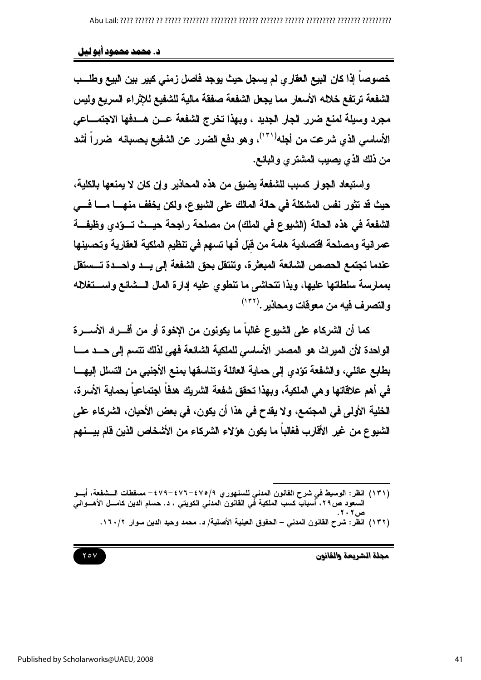#### د. محمد محمود آبو لیل

خصوصاً إذا كان البيع العقاري لم يسجل حيث يوجد فاصل زمني كبير بين البيع وطلسب الشفعة ترتفع خلاله الأسعار مما يجعل الشفعة صفقة مالية للشفيع للإثراء السريع وليس مجرد وسيلة لمنع ضرر الجار الجديد ، ويهذا تخرج الشفعة عسن هسدفها الاجتمساعي الأساسي الذي شرعت من أجله'`'')، وهو دفع الضرر عن الشفيع بحسبانه ۖ ضرراً أشد من ذلك الذي يصيب المشتري والبائع.

واستبعاد الجوار كسبب للشفعة يضيق من هذه المحاذير وإن كان لا يمنعها بالكلية، حيث قد تثور نفس المشكلة في حالة المالك على الشيوع، ولكن يخفف منهــــا مـــــا فــــي الشفعة في هذه الحالة (الشيوع في الملك) من مصلحة راجحة حيــث تــوّدي وظيفـــة عمر انية ومصلحة اقتصادية هامة من قبَل أنها تسهم في تنظيم الملكية العقارية وتحسينها عندما تجتمع الحصص الشائعة المبعثرة، وتنتقل بحق الشفعة إلى يـــد واحـــدة تـــستقل بممارسة سلطاتها عليها، وبذا تتحاشى ما تنطوي عليه إدارة المال السشائع واستخلاله والتصرف فيه من معوقات ومحاذير .(١٣٢)

كما أن الشركاء على الشيوع غالباً ما يكونون من الإخوة أو من أفـــراد الأســـرة الواحدة لأن الميراث هو المصدر الأساسي للملكية الشائعة فهي لذلك تتسم إلى حـــد مـــا بطابع عائلي، والشفعة تؤدي إلى حماية العائلة وتناسقها بمنع الأجنبي من التسلل إليهـــا في أهم علاقاتها وهي الملكية، وبهذا تحقق شفعة الشريك هدفاً اجتماعياً بحماية الأسرة، الخلية الأولى في المجتمع، ولا يقدح في هذا أن يكون، في بعض الأحيان، الشركاء على الشبوع من غير الأقارب فغالباً ما يكون هؤلاء الشركاء من الأشخاص الذين قام بيسنهم



<sup>(</sup>١٣١) انظر: الوسيط في شرح القانون المدني للسنهور ي ٤٧٩/٩-٤٧٦-٤٧٩- مسقطات الـــشفعة، أبـــو السعود ص٢٩، أسبابٌ كسب الملكية في القانون المدني الكويتي ، د. حسام الدين كامـــل الأهـــواني (١٣٢) انظر : شرح القانون المدنى – الحقوق العينية الأصلية/ د. محمد وحيد الدين سوار ١٦٠/٢.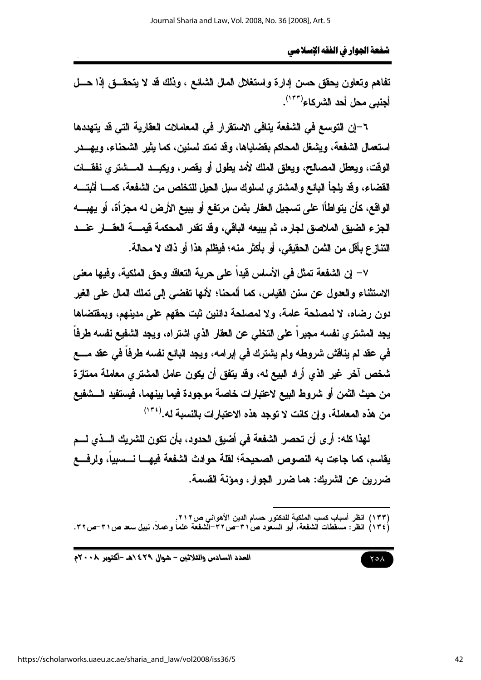تفاهم وتعاون يحقق حسن إدارة واستغلال المال الشائع ، وذلك قد لا يتحقـــق إذا حـــل أجنبي محل أحد الشر كاء<sup>(١٣٣)</sup>.

٦–إن التوسع في الشفعة ينافي الاستقرار في المعاملات العقارية التي قد يتهددها استعمال الشفعة، ويشغل المحاكم بفضاياها، وقد تمتد لسنين، كما يثير الشحناء، ويهـــدر الوقت، ويعطل المصالح، ويعلق الملك لأمد يطول أو يقصر، ويكبــد المـــشترى نفقـــات القضاء، وقد يلجأ البائع والمشترى لسلوك سبل الحيل للتخلص من الشفعة، كمــــا أثبتــــه الواقع، كأن يتواطأا على تسجيل العقار بثمن مرتفع أو يبيع الأرض له مجزأة، أو يهبــــه الجزء الضيق الملاصق لجاره، ثم يبيعه الباقي، وقد تقدر المحكمة فيمـــــة العقـــــار عنــــد التناز ع بأقل من الثمن الحقيقي، أو بأكثر منه؛ فيظلم هذا أو ذاك لا محالة.

٧– إن الشفعة تمثل في الأساس فيداً على حرية التعاقد وحق الملكية، وفيها معنى الاستثناء والعدول عن سنن القياس، كما ألمحنا؛ لأنها تفضي إلى تملك المال على الغير دون رضاه، لا لمصلحة عامة، ولا لمصلحة دائنين ثبت حقهم على مدينهم، وبمفتضاها يجد المشترى نفسه مجبراً على التخلي عن العقار الذي اشتراه، ويجد الشفيع نفسه طرفاً في عقد لم يناقش شروطه ولم يشترك في إبرامه، ويجد البائع نفسه طرفاً في عقد مــــع شخص آخر غير الذي أراد البيع له، وقد يتفق أن يكون عامل المشتري معاملة ممتازة من حيث الثمن أو شروط البيع لاعتبارات خاصة موجودة فيما بينهما، فيستفيد الـــشفيع من هذه المعاملة، وإن كانت لا توجد هذه الاعتبارات بالنسبة له.(° ّ''

لهذا كله: أرى أن تحصر الشفعة في أضيق الحدود، بأن تكون للشريك الـــذى لـــم يقاسم، كما جاعت به النصوص الصحيحة؛ لقلة حوادث الشفعة فيهـــا نـــسبياً، ولرفــــع ضررين عن الشريك: هما ضرر الجوار، ومؤنة القسمة.

(١٣٣) انظر أسباب كسب الملكية للدكتور حسام الدين الأهواني ص٢١٢ .<br>(١٣٤) انظر : مسقطات الشفعة، أبو السعود ص٣١–ص٣٦–الشفعة علماً وعملاً، نبيل سعد ص٣١–ص٣٢.

 $Y \circ A$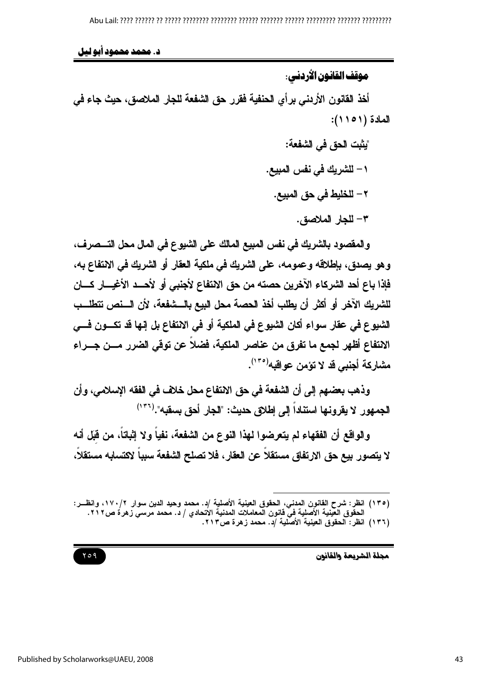د. محمد محمود آبو لیل

موقف القانون الأردني:

أخذ القانون الأردني برأي الحنفية فقرر حق الشفعة للجار الملاصق، حيث جاء في المادة (١٥١١):

> "يِثْبِت الحق في الشْفعة: ١ – للشريك في نفس المبيع. ٢ – للخليط في حق المبيع. ٣- للجار الملاصق.

والمقصود بالشريك في نفس المبيع المالك على الشيوع في المال محل التـــصرف، وهو يصدق، بإطلاقه وعمومه، على الشريك في ملكية العقار أو الشريك في الانتفاع به، فإذا باع أحد الشركاء الآخرين حصته من حق الانتفاع لأجنبي أو لأحـــد الأغيــــار كــــان للشريك الآخر أو أكثر أن يطلب أخذ الحصة محل البيع بالـــشفعة، لأن الـــنص تتطلــب الشيوع في عقار سواء أكان الشيوع في الملكية أو في الانتفاع بل إنها قد تكـــون فـــي الانتفاع أظهر لجمع ما تفرق من عناصر الملكية، فضلاً عن توفّي الضرر مـــن جـــراء مشاركة أجنبي قد لا تؤمن عواقبه<sup>(٢٠٥)</sup>.

وذهب بعضهم إلى أن الشفعة في حق الانتفاع محل خلاف في الفقه الإسلامي، وأن الجمهور لا يقرونها استنداً إلى إطلاق حديث: "الجار أحق بسقبه".(\*\*')

والواقع أن الفقهاء لم يتعرضوا لهذا النوع من الشفعة، نفياً ولا إثباتاً، من قبَل أنه لا يتصور بيع حق الارتفاق مستقلا عن العقار ، فلا تصلح الشفعة سببا لاكتسابه مستقلا،

<sup>(</sup>١٣٥) انظر: شرح القانون المدني، الحقوق العينية الأصلية /د. محمد وحيد الدين سوار ١٧٠/٢، وانظــر: الحقُّوق الْعَيْنِية الأصلية في قانون المعاملات المدنية الاتحادي / د. محمد مرسي زهرة ص٢١٢. (١٣٦) انظر: الحقوق العينية الأصلية /د. محمد زهرة ص٢١٣.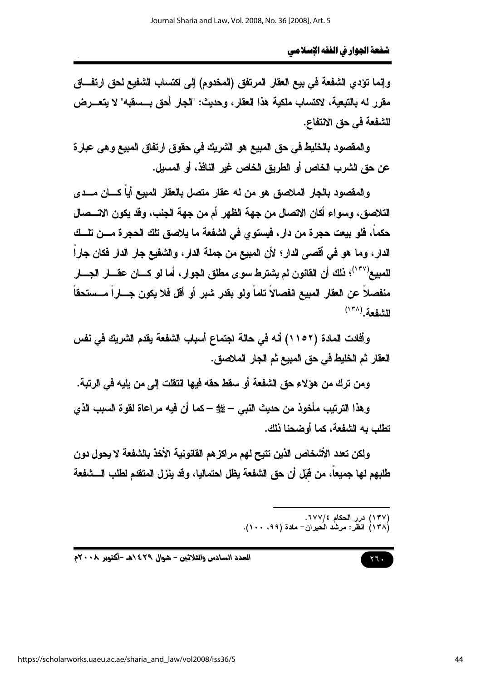وإنما تؤدي الشفعة في بيع العقار المرتفق (المخدوم) إلى اكتساب الشفيع لحق ارتفـــاق مقرر له بالتبعية، لاكتساب ملكية هذا العقار، وحديث: "الجار أحق بــسقبه" لا يتعـــرض للشفعة في حق الانتفاع.

والمقصود بالخليط في حق المبيع هو الشريك في حقوق ارتفاق المبيع وهي عبارة عن حق الشرب الخاص أو الطريق الخاص غير النافذ، أو المسيل.

والمقصود بالجار الملاصق هو من له عقار متصل بالعقار المبيع أياً كــــان مـــدى التلاصق، وسواء أكان الاتصال من جهة الظهر أم من جهة الجنب، وقد يكون الاتـــصال حكماً، فلو بيعت حجرة من دار ، فيستوى في الشفعة ما يلاصق تلك الحجرة مـــن تلـــك الدار ، وما هو في أقصى الدار ؛ لأن المبيع من جملة الدار ، والشفيع جار الدار فكان جاراً للمبيع'''')؛ ذلك أن القانون لم يشترط سوى مطلق الجوار، أما لو كـــان عقـــار الجـــار منفصلاً عن العقار المبيع انفصالاً تاماً ولو بقدر شبر أو أقل فلا يكون جـــاراً مـــستحقاً الشفعة (١٣٨)

وأفادت المادة (١١٥٢) أنه في حالة اجتماع أسباب الشفعة يقدم الشريك في نفس العقار ثم الخليط في حق المبيع ثم الجار الملاصق.

ومن ترك من هؤلاء حق الشفعة أو سقط حقه فيها انتقلت إلى من بليه في الرتبة.

وهذا الترتيب مأخوذ من حديث النبي – ﷺ – كما أن فيه مراعاة لقوة السبب الذي تطلب به الشفعة، كما أه ضحنا ذلك.

ولكن تعدد الأشخاص الذين تتيح لهم مراكز هم الفانونية الأخذ بالشفعة لا يحول دون طلبهم لها جميعاً، من قبَل أن حق الشفعة يظل احتماليا، وقد ينزل المتقدم لطلب الـــشفعة

(۱۳۷) درر الحكام ۶۷۷/٤.<br>(۱۳۸) انظر: مرشد الحيران– مادة (۹۹، ۱۰۰).

العدد السادس والثلاثين - شوال ٢٩٤/هـ -أكتوبر ٢٠٠٨م

 $\mathbf{y}$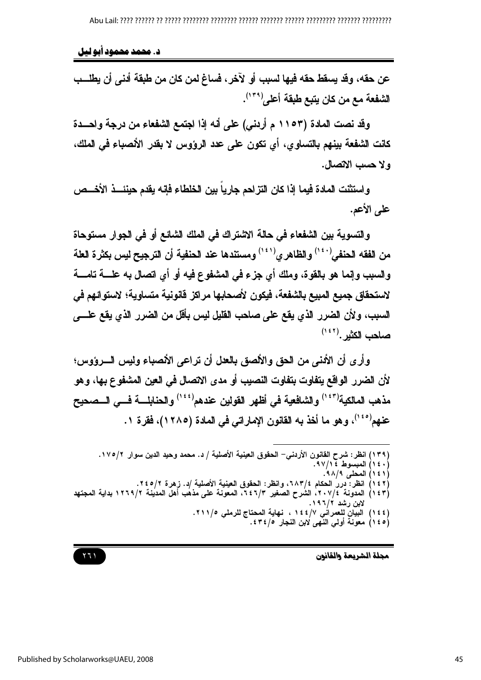د. محمد محمود آبو لیل

عن حقه، وقد يسقط حقه فيها لسبب أو لآخر، فساغ لمن كان من طبقة أدنى أن يطلــب الشفعة مع من كان يتبع طبقة أعلى(٢٠٩).

وقد نصت المادة (١١٥٣ م أردني) على أنه إذا اجتمع الشفعاء من درجة واحـــدة كانت الشفعة بينهم بالتساوى، أي تكون على عدد الروّوس لا بقدر الأنصباء في الملك، ولا حسب الاتصال.

و استثنت المادة فيما إذا كان التزاحم جاريا بين الخلطاء فإنه يقدم حينئـــذ الأخـــص على الأعم.

والتسوية بين الشفعاء في حالة الاشتراك في الملك الشائع أو في الجوار مستوحاة من الفقه الحنفي $\left( \begin{array}{c} \alpha \end{array} \right)$ والظاهري $\left( \begin{array}{c} \alpha \end{array} \right)$ ومستندها عند الحنفية أن الترجيح ليس بكثرة العلة والسبب وإنما هو بالقوة، وملك أي جزء في المشفوع فيه أو أي اتصال به علـــــة تامــــة لاستحقاق جميع المبيع بالشفعة، فيكون لأصحابها مراكز قانونية متساوية؛ لاستوائهم في السبب، ولأن الضرر الذي يقع على صاحب القليل ليس بأقل من الضرر الذي يقع علــــي صاحب الكثير . (١٤٢)

وأرى أن الأنني من الحق والألصق بالعلل أن تراعى الأنصباء وليس السرووس؛ لأن الضرر الواقع يتفاوت بتفاوت النصيب أو مدى الاتصال في العين المشفوع بها، وهو مذهب المالكية'أ `` ) والشافعية في أظهر القولين عندهم' `` ) والحنابلـــــة فــــى الـــصحيح عنهم<sup>(٤٥)</sup>، وهو ما أخذ به القانون الإماراتي في المادة (١٢٨٥)، فقرة ١.

(١٣٩) انظر: شرح القانون الأردني– الحقوق العينية الأصلية / د. محمد وحيد الدين سوار ١٧٥/٢. (١٤٠) المبسوط ٩٧/١٤. (١٤١) المطي ٩٨/٩. (١٤٢) انظر : دررُ الحكام ٢٨٣/٤، وانظر: الحقوق العينية الأصلية /د. زهرة ٢٤٥/٢.<br>(١٤٣) المدونة ٢٠٧/٤، الشرح الصغير ٢٤٦/٣، المعونة على مذهب أهل المدينة ١٢٦٩/٢ بداية المجتهد لابن رشد ۱۹۶۲. (١٤٤) البيَّانُ للعمرانُي ١٤٤/٧، نهاية المحتاج للرملي ١١١/٥. (١٤٥) معونة أولى النَّهى لابن النَّجار ٤٣٤/٥.

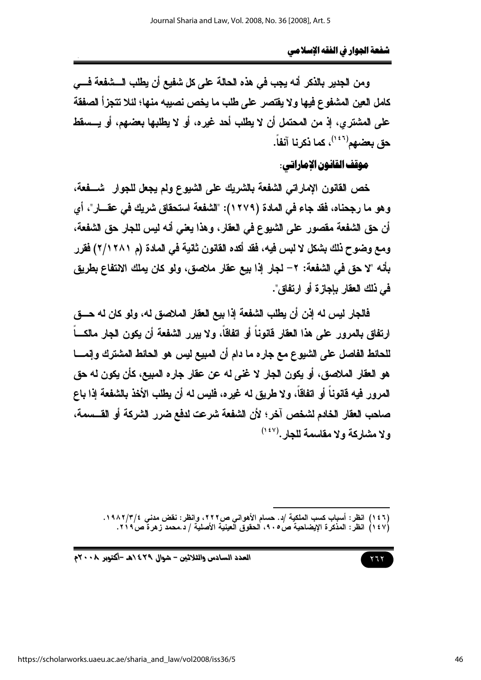ومن الجدير بالذكر أنه يجب في هذه الحالة على كل شفيع أن يطلب الـــشفعة فـــي كامل العين المشفوع فيها ولا يفتصر على طلب ما يخص نصبيه منها؛ لئلا تتجزأ الصفقة على المشترى، إذ من المحتمل أن لا يطلب أحد غيره، أو لا يطلبها بعضهم، أو يـــسقط حق بعضهم<sup>(١٤٦)</sup>، كما ذكرنا آنفاً.

موقف القانون الإماراتي:

خص القانون الإماراتي الشفعة بالشريك على الشيوع ولم يجعل للجوار شـــفعة، وهو ما رجحناه، فقد جاء في المادة (١٢٧٩): "الشفعة استحقاق شريك في عقـــار"، أي أن حق الشفعة مقصور على الشيوع في العقار ، وهذا يعني أنه ليس للجار حق الشفعة ، ومع وضوح ذلك بشكل لا لبس فيه، فقد أكده القانون ثانية في المادة (م ٢/١٢٨١) فقرر بأنه "لا حق في الشفعة: ٢– لجار إذا بيع عقار ملاصق، ولو كان يملك الانتفاع بطريق في ذلك العقار بإجازة أو ارتفاق".

فالجار ليس له إذن أن يطلب الشفعة إذا بيع العقار الملاصق له، ولو كان له حــــــــــق ارتفاق بالمرور على هذا العقار قانوناً أو اتفاقاً، ولا يبرر الشفعة أن يكون الجار مالكـــاً للحائط الفاصل على الشيوع مع جاره ما دام أن المبيع ليس هو الحائط المشترك وإنمــــا هو العقار الملاصق، أو يكون الجار لا غنى له عن عقار جاره المبيع، كأن يكون له حق المرور فيه قانوناً أو اتفاقاً، ولا طريق له غيره، فليس له أن يطلب الأخذ بالشفعة إذا باع صاحب العقار الخادم لشخص آخر؛ لأن الشفعة شرعت لدفع ضرر الشركة أو القـــسمة، ولا مشاركة ولا مقاسمة للجار . (١٤٧)

- (١٤٦) انظر : أسباب كسب الملكية /د. حسام الأهواني ص٢٢٢، وانظر : نقض مدنى ٣/٤/٢/٢/٤ .
- (١٤٧) انظر: المذكرة الإيضاحية ص6 ٩٠، الحقوق العينية الأصلية / د.محمد زهرة ص٢١٩.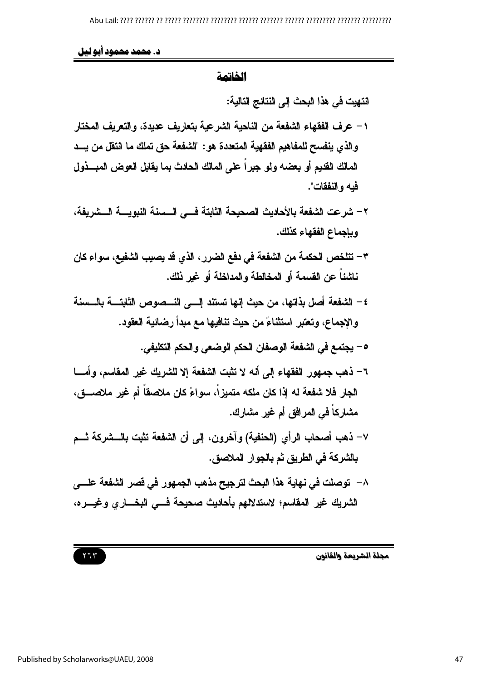د. محمد محمود ابو ليل

## الخاتمة

انتهيت في هذا البحث إلى النتائج التالية:

- ١ عرف الفقهاء الشفعة من الناحية الشرعية بتعاريف عديدة، والتعريف المختار والذي ينفسح للمفاهيم الفقهية المتعددة هو: "الشفعة حق تملك ما انتقل من يـــد المالك القديم أو بعضه ولو جبراً على المالك الحادث بما يقابل العوض المبـــذول فيه و النفقات".
- ٢ شرعت الشفعة بالأحاديث الصحيحة الثابتة فسي السسنة النبويسة السشريفة، وبإجماع الفقهاء كذلك.
- ٣ تتلخص الحكمة من الشفعة في دفع الضرر ، الذي قد يصيب الشفيع، سواء كان ناشئاً عن القسمة أو المخالطة والمداخلة أو غير ذلك.
- ٤ الشفعة أصل بذاتها، من حيث إنها تستند إلـــى النـــصوص الثابتــــة بالـــسنة والإجماع، وتعتبر استثناءً من حيث تنافيها مع مبدأ رضائية العقود.
	- 0 يجتمع في الشفعة الوصفان الحكم الوضعي والحكم التكليفي.
- ٦- ذهب جمهور الفقهاء إلى أنه لا تثبت الشفعة إلا للشريك غير المقاسم، وأمسا الجار. فلا شفعة له إذا كان ملكه متميزاً، سواءً كان ملاصقاً أم غير ملاصـــق، مشاركاً في المرافق أم غير مشارك.
- ٧– ذهب أصحاب الرأي (الحنفية) وآخرون، إلى أن الشفعة تثبت بالـــشركة ثـــم بالشركة في الطريق ثم بالجوار الملاصق.
- ٨– توصلت في نهاية هذا البحث لترجيح مذهب الجمهور في قصر الشفعة علــــى الشريك غير المقاسم؛ لاستدلالهم بأحاديث صحيحة فسى البخساري وغيسره،

 $777$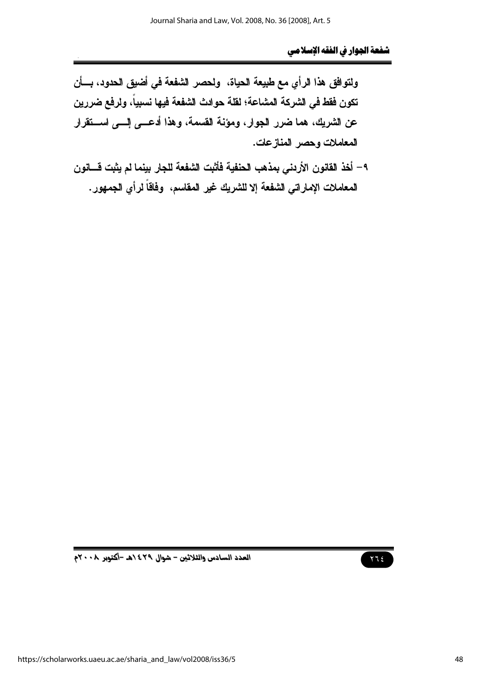ولتوافق هذا الرأى مع طبيعة الحياة، ولحصر الشفعة في أضيق الحدود، بسأن تكون فقط في الشركة المشاعة؛ لقلة حوادث الشفعة فيها نسبياً، ولرفع ضررين عن الشريك، هما ضرر الجوار، ومؤنَّة القسمة، وهذا أدعـــي إلـــي اســـتقرار المعاملات وحصر المنازعات.

٩ – أخذ القانون الأردني بمذهب الحنفية فأثبت الشفعة للجار بينما لم يثبت قسانون المعاملات الإماراتي الشفعة إلا للشريك غير المقاسم، وفاقاً لرأي الجمهور.



العدد السادس والثلاثين - شوال ٤٢٩ ١هـ -أكتوبر ٢٠٠٨م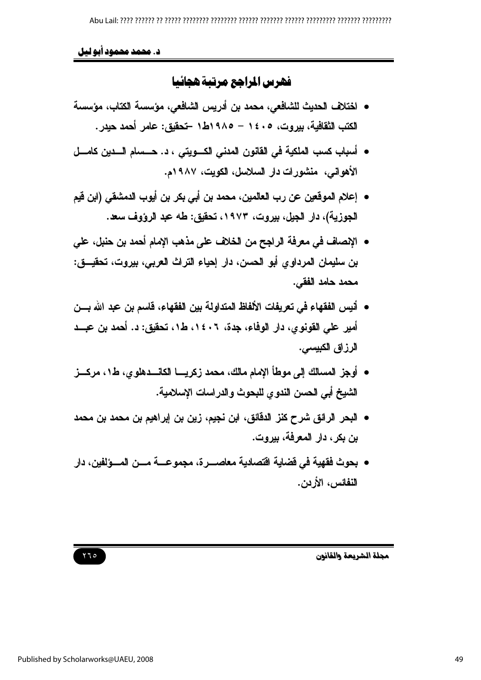## د. محمد محمود أبو ليل

# فهرس المراجع مرتبة هجائيا

- اختلاف الحديث للشافعي، محمد بن أدريس الشافعي، مؤسسة الكتاب، مؤسسة الكتب الثقافية، بيروت، ١٤٠٥ - ١٩٨٥ط١ -تحقيق: عامر أحمد حيدر.
- أسباب كسب الملكية في القانون المدنى الكسويتي ، د. حسسام السدين كامسل الأهواني، منشورات دار السلاسل، الكويت، ١٩٨٧م.
- إعلام الموقعين عن رب العالمين، محمد بن أبي بكر بن أيوب الدمشقي (ابن قيم الجوزية)، دار الجيل، بيروت، ١٩٧٣، تحقيق: طه عبد الرؤوف سعد.
- الإنصاف في معرفة الراجح من الخلاف على مذهب الإمام أحمد بن حنبل، على بن سليمان المرداوي أبو الحسن، دار إحياء التراث العربي، بيروت، تحقيـــق: محمد حامد الفقي.
- أنيس الفقهاء في تعريفات الألفاظ المتداولة بين الفقهاء، قاسم بن عبد الله بـــن أمير على القونوي، دار الوفاء، جدة، ١٤٠٦، ط١، تحقيق: د. أحمد بن عبــد الرزاق الكبيسي.
- أوجز المسالك إلى موطأ الامام مالك، محمد زكريــــا الكانــــدهلو ي، ط1، مركـــز الشبخ أبي الحسن الندو ي للبحوث والدر اسات الاسلامية.
- البحر الرائق شرح كنز الدقائق، ابن نجيم، زين بن إبراهيم بن محمد بن محمد بن بكر ، دار المعرفة، بيروت.
- بحوث فقهية في فضاية اقتصادية معاصـــر ة، مجمو عـــة مـــن المـــوْلفين، دار النفائس، الأردن.

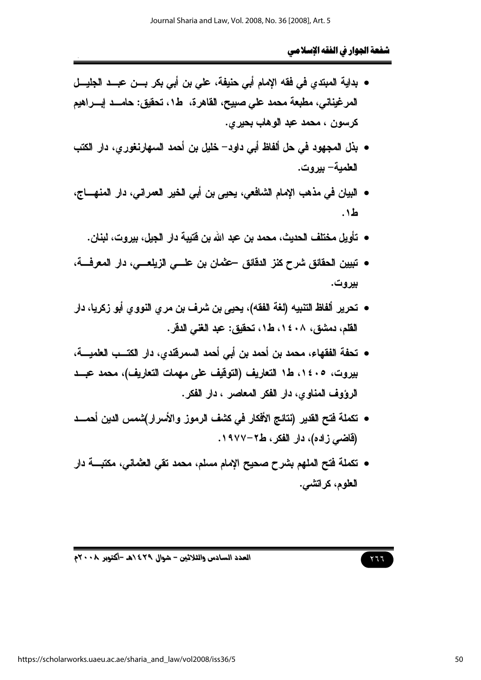- بداية المبتدى في فقه الإمام أبي حنيفة، على بن أبي بكر بـــن عبـــد الجليـــل المرغيناني، مطبعة محمد على صبيح، القاهرة، ط١، تحقيق: حامـــد إبـــراهيم كرسون ، محمد عبد الوهاب بحيرى.
- بذل المجهود في حل ألفاظ أبي داود– خليل بن أحمد السهارنغور ي، دار الكتب العلمبة– ببر و ت.
- البيان في مذهب الإمام الشافعي، يحيى بن أبي الخير العمراني، دار المنهــــاج، ط۱.
	- تأويل مختلف الحديث، محمد بن عبد الله بن فتيبة دار الجيل، بيروت، لبنان.
- تبيين الحقائق شرح كنز الدقائق حقمان بن علـــى الزيلعـــى، دار المعرفــــة، بيروت.
- تحرير ألفاظ التنبيه (لغة الفقه)، يحيى بن شرف بن مري النووي أبو زكريا، دار القلم، دمشق، ١٤٠٨، ط١، تحقيق: عبد الغني الدقر.
- تحفة الفقهاء، محمد بن أحمد بن أبي أحمد السمرفَّندي، دار الكتــب العلميـــة، بيروت، ١٤٠٥، ط١ التعاريف (التوقيف على مهمات التعاريف)، محمد عبــد الرؤوف المناوي، دار الفكر المعاصر ، دار الفكر.
- تكملة فتح القدير (نتائج الأفكار في كشف الرموز والأسرار)شمس الدين أحمـــد (فاضی زاده)، دار الفکر، ط۲-۱۹۷۷.
- تكملة فتح الملهم بشرح صحيح الإمام مسلم، محمد تقي العثماني، مكتبـــة دار العلوم، كراتشي.

# $577$

العدد السادس والثلاثين - شوال ٤٢٩ ٥هـ -أكتوبر ٢٠٠٨م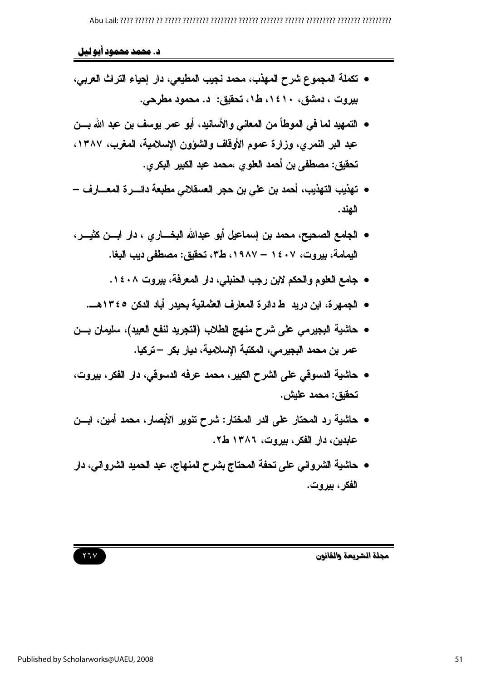## د. محمد محمود أبو ليل

- تكملة المجموع شرح المهذب، محمد نجيب المطيعي، دار إحياء التراث العربي، بیروت ، دمشق، ۱٤۱۰، ط۱، تحقیق: د. محمود مطرحی.
- التمهيد لما في الموطأ من المعاني والأسانيد، أبو عمر يوسف بن عبد الله بـــن عبد البر النمري، وزارة عموم الأوقاف والشؤون الإسلامية، المغرب، ١٣٨٧. تحقيق: مصطفى بن أحمد العلوى ،محمد عبد الكبير البكرى.
- تهذيب التهذيب، أحمد بن على بن حجر الصيقلاني مطبعة دائسرة المعسار ف الهند.
- الجامع الصحيح، محمد بن إسماعيل أبو عبدالله البخــــار ي ، دار ابــــن كثيـــر ، اليمامة، بيروت، ١٤٠٧ – ١٩٨٧، ط٣، تحقيق: مصطفى ديب البغا.
	- جامع العلوم والحكم لابن رجب الحنبلي، دار المعرفة، بيروت ١٤٠٨.
	- الجمهرة، ابن دريد ط دائرة المعارف العثمانية بحيدر أباد الدكن ١٣٤٥هـــ.
- حاشية البجيرمي على شرح منهج الطلاب (التجريد لنفع العبيد)، سليمان بـــن عمر بن محمد البجيرمي، المكتبة الإسلامية، ديار بكر — تركيا.
- حاشية الدسوقي على الشرح الكبير، محمد عرفه الدسوقي، دار الفكر، بيروت، تحقيق: محمد عليش.
- حاشية رد المحتار على الدر المختار: شرح تنوير الأبصار، محمد أمين، ابـــن عابدين، دار الفكر، بيروت، ١٣٨٦ ط٢.
- حاشية الشرواني على تحفة المحتاج بشرح المنهاج، عبد الحميد الشرواني، دار الفكر ، بيروت.

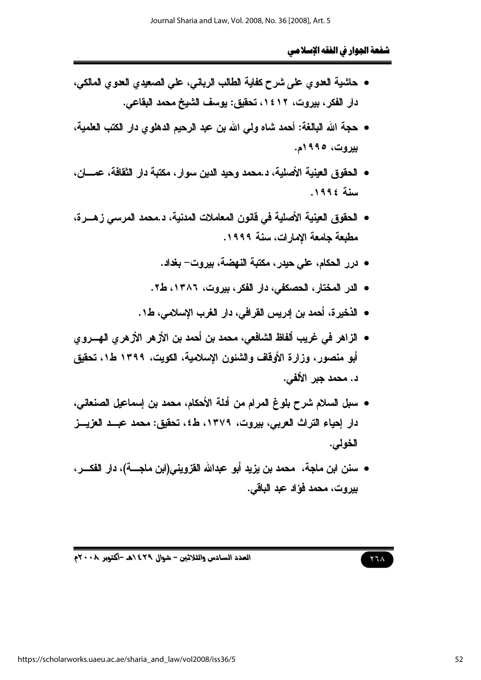- حاشية العدوي على شرح كفاية الطالب الرباني، على الصعيدي العدوي المالكي، دار الفكر ، بيروت، ١٤١٢، تحقيق: يوسف الشيخ محمد البقاعي.
- حجة الله البالغة: أحمد شاه ولمي الله بن عبد الرحيم الدهلوي دار الكتب العلمية، ببروت، ۱۹۹۵م.
- الحقوق العينية الأصلية، د.محمد وحيد الدين سوار ، مكتبة دار الثقافة، عمـــان، سنة ١٩٩٤.
- الحقوق العينية الأصلية في قانون المعاملات المدنية، د.محمد المرسى ز.هـــرة، مطبعة جامعة الامارات، سنة ١٩٩٩.
	- درر الحكام، على حيدر، مكتبة النهضة، بيروت– بغداد.
	- الدر المختار، الحصكفي، دار الفكر، بيروت، ١٣٨٦، ط٢.
	- الذخيرة، أحمد بن إدريس القرافي، دار الغرب الإسلامي، ط1.
- الزاهر في غريب ألفاظ الشافعي، محمد بن أحمد بن الأزهر الأزهري الهـــروي أبو منصور، وزارة الأوقاف والشئون الإسلامية، الكويت، ١٣٩٩ ط١، تحقيق د. محمد جبر الألفي.
- سبل السلام شرح بلوغ المرام من أدلة الأحكام، محمد بن إسماعيل الصنعاني، دار إحياء التراث العربي، بيروت، ١٣٧٩، ط٤، تحقيق: محمد عبــد العزيـــز الخولى.
- سنن ابن ماجة، محمد بن يزيد أبو عبدالله القزويني(ابن ماجــــة)، دار الفكــــر، بير وت، محمد فؤاد عبد الباقي.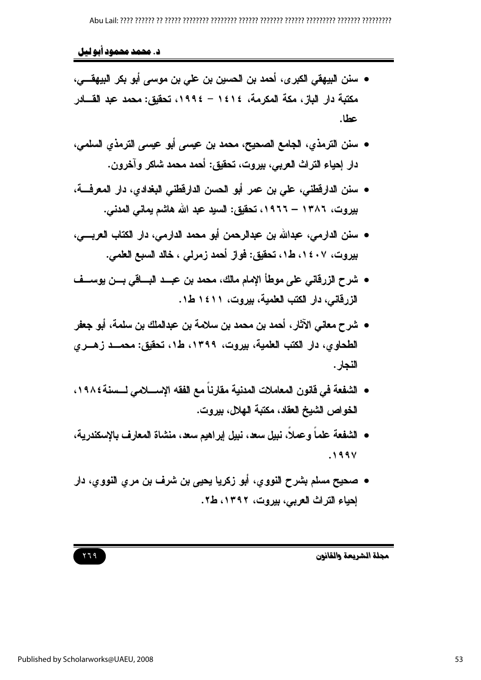د. محمد محمود آبو لیل

- سنن البيهقي الكبرى، أحمد بن الحسين بن علي بن موسى أبو بكر البيهقـــي، مكتبة دار الباز ، مكة المكرمة، ١٤١٤ – ١٩٩٤، تحقيق: محمد عبد القـــادر عطا.
- سنن الترمذي، الجامع الصحيح، محمد بن عيسى أبو عيسى الترمذي السلمي، دار إحياء التراث العربي، بيروت، تحقيق: أحمد محمد شاكر وآخرون.
- سنن الدارفظني، على بن عمر أبو الحسن الدارفطني البغدادي، دار المعرفة، بیروت، ۱۳۸۲ – ۱۹۲۲، تحقیق: السید عبد الله هاشم یمانی المدنی.
- سنن الدارمي، عبدالله بن عبدالرحمن أبو محمد الدارمي، دار الكتاب العربــــي، بيروت، ١٤٠٧، ط١، تحقيق: فواز أحمد زمرلي ، خالد السبع العلمي.
- شرح الزرقاني على موطأ الامام مالك، محمد بن عبــد البـــاقي بـــن يوســف الزرقاني، دار الكتب العلمية، بيروت، ١٤١١ ط١.
- شرح معاني الآثار ، أحمد بن محمد بن سلامة بن عبدالملك بن سلمة، أبو جعفر الطحاوى، دار الكتب العلمية، بيروت، ١٣٩٩، ط١، تحقيق: محمــد زهــرى النجار .
- الشفعة في قانون المعاملات المدنية مقارنا مع الفقه الإســــلامي لــــسنة١٩٨٤، الخواص الشيخ العقاد، مكتبة الهلال، بيروت.
- الشفعة علماً وعملاً، نبيل سعد، نبيل إبراهيم سعد، منشاة المعارف بالإسكندرية،  $.199V$
- صحيح مسلم بشرح النووي، أبو زكريا يحيى بن شرف بن مرى النووي، دار إحياء التراث العربي، بيروت، ١٣٩٢، ط٢.

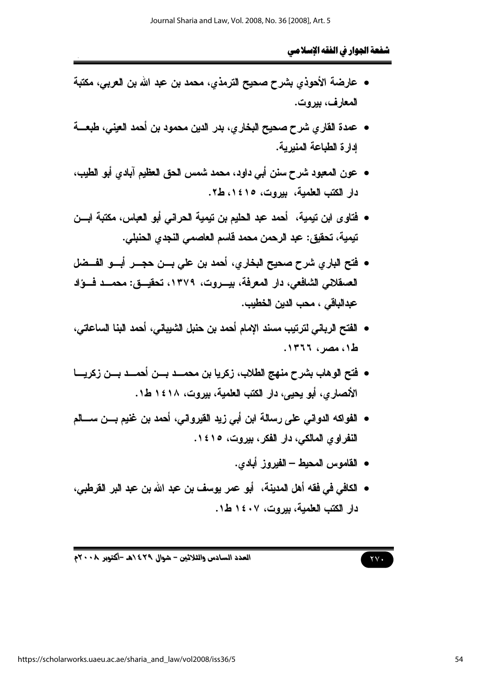- عارضة الأحوذي بشرح صحيح الترمذي، محمد بن عبد الله بن العربي، مكتبة المعارف، بيروت.
- عمدة القار ي شرح صحيح البخار ي، بدر الدين محمود بن أحمد العيني، طبعــــة ادارة الطباعة المنبرية.
- عون المعبود شرح سنن أبي داود، محمد شمس الحق العظيم آبادي أبو الطيب، دار الكتب العلمية، بيروت، ١٤١٥، ط٢.
- فتاوى ابن تيمية، أحمد عبد الحليم بن تيمية الحراني أبو العباس، مكتبة ابـــن تيمية، تحقيق: عبد الرحمن محمد فاسم العاصمي النجدي الحنبلي.
- فتح الباري شرح صحيح البخاري، أحمد بن على بـــن حجـــر أبـــو الفــضل العسقلاني الشافعي، دار المعرفة، بيـــروت، ١٣٧٩، تحقيـــق: محمـــد فـــؤاد عدالباقي ، محب الدين الخطيب.
- الفتح الرياني لترتيب مسند الإمام أحمد بن حنبل الشبياني، أحمد البنا الساعاتي، ط١، مصر، ١٣٦٦.
- فتح الوهاب بشرح منهج الطلاب، زكريا بن محمـــد بـــن أحمـــد بـــن زكريــــا الأنصاري، أبو يحيى، دار الكتب العلمية، بيروت، ١٤١٨ ط1.
- الفواكه الدواني على رسالة ابن أبي زيد الفيرواني، أحمد بن غنيم بـــن ســــالم النفر او ی المالکی، دار الفکر ، بیروت، ۱٤۱٥.
	- القاموس المحيط الفيروز أبادي.
- الكافي في فقه أهل المدينة، أبو عمر يوسف بن عبد الله بن عبد البر القرطبي، دار الكتب العلمية، بيروت، ١٤٠٧ ط١.

العدد السادس والثلاثين - شوال ٤٢٩ ٥هـ -أكتوبر ٢٠٠٨م

 $\gamma$   $\gamma$ .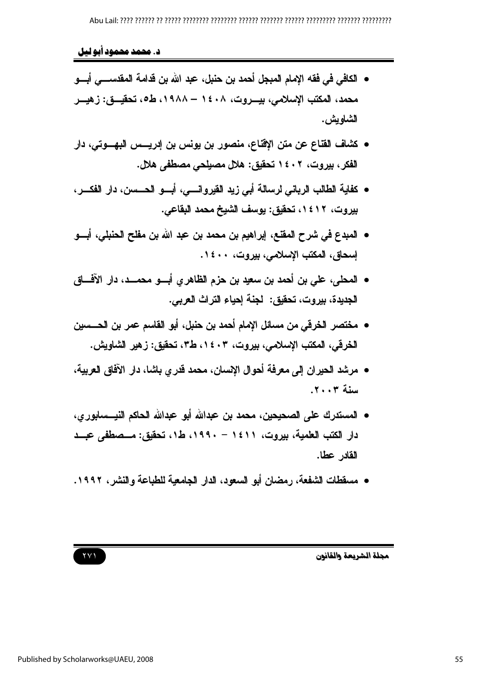د. محمد محمود آبو لیل

- الكافي في فقه الإمام المبجل أحمد بن حنبل، عبد الله بن قدامة المقدســـي أبـــو محمد، المكتب الإسلامي، بيـــروت، ١٤٠٨ – ١٩٨٨، ط٥، تحقيـــق: زهيـــر الشاويش .
- كشاف القناع عن متن الإقناع، منصور بن يونس بن إدريس البهـوتي، دار الفكر ، بيروت، ١٤٠٢ تحقيق: هلال مصيلحي مصطفى هلال.
- كفاية الطالب الرياني لرسالة أبي زيد القيروانسي، أبسو الحسس، دار الفكسر، بيروت، ١٤١٢، تحقيق: يوسف الشيخ محمد البقاعي.
- المبدع في شرح المقتع، إبراهيم بن محمد بن عبد الله بن مفلح الحنبلي، أبـــو إسحاق، المكتب الإسلامي، بيروت، ١٤٠٠.
- المحلي، علي بن أحمد بن سعيد بن حزم الظاهر ي أبسو محمسد، دار الآف) الجديدة، بيروت، تحقيق: لجنة إحياء التراث العربي.
- مختصر الخرقي من مسائل الإمام أحمد بن حنبل، أبو القاسم عمر بن الحـــسين الخرقي، المكتب الإسلامي، بيروت، ١٤٠٣، ط٣، تحقيق: زهير الشاويش.
- مرشد الحيران إلى معرفة أحوال الاسبان، محمد قدري باشا، دار الآفاق العربية، سنة ٢٠٠٣.
- المستدرك على الصحيحين، محمد بن عبدالله أبو عبدالله الحاكم النيـــسابور ي، دار الكتب العلمية، بيروت، ١٤١١ - ١٩٩٠، ط١، تحقيق: مـصطفى عبـد القادر عطا.
- مسقطات الشفعة، رمضان أبو السعود، الدار الجامعية للطباعة والنشر، ١٩٩٢.

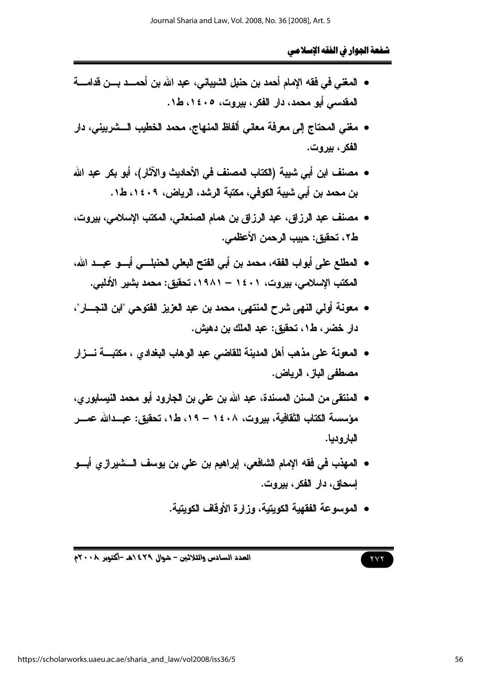- المغنى في فقه الإمام أحمد بن حنبل الشبياني، عبد الله بن أحمـــد بـــن قدامــــة المقدسي أبو محمد، دار الفكر ، بيروت، ١٤٠٥، ط١.
- مغنى المحتاج إلى معرفة معاني ألفاظ المنهاج، محمد الخطيب الـــشربيني، دار الفكر ، بير و ت.
- مصنف ابن أبي شيبة (الكتاب المصنف في الأحاديث والآثار)، أبو بكر عبد الله بن محمد بن أبي شيبة الكوفي، مكتبة الرشد، الرياض، ١٤٠٩، ط١.
- مصنف عبد الرزاق، عبد الرزاق بن همام الصنعاني، المكتب الإسلامي، بيروت، ط٢، تحقيق: حبيب الرحمن الأعظمي.
- المطلع على أبواب الفقه، محمد بن أبي الفتح البعلي الحنبلسي أبسو عبسد الله، المكتب الإسلامي، بيروت، ١٤٠١ – ١٩٨١، تحقيق: محمد بشير الأدلبي.
- معونة أولى النهي شرح المنتهي، محمد بن عبد العزيز الفتوحي "ابن النجسار"، دار خضر ، ط١، تحقيق : عبد الملك بن دهيش .
- المعونة على مذهب أهل المدينة للقاضي عبد الوهاب البغدادي ، مكتبـــة نـــزار مصطفى الباز، الرياض.
- المنتقى من السنن المسندة، عبد الله بن على بن الجارود أبو محمد النيسابور ي، مؤسسة الكتاب الثقافية، بيروت، ١٤٠٨ – ١٩، ط١، تحقيق: عبــدالله عمـــر البار و دبا.
- المهذب في فقه الإمام الشافعي، إبراهيم بن علي بن يوسف الـــشيرازي أبـــو اسحاق، دار الفکر ، بيروت.
	- الموسوعة الفقهية الكويتية، وزارة الأوقاف الكويتية.